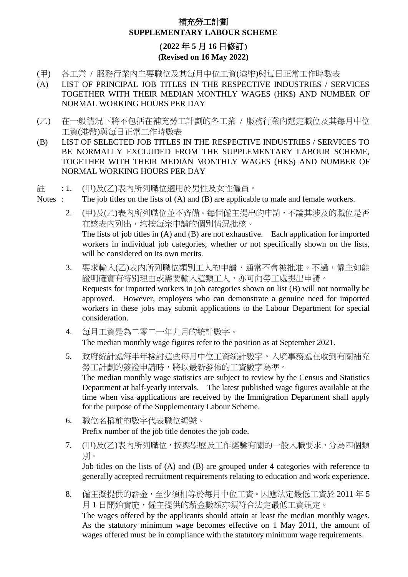### 補充勞工計劃 **SUPPLEMENTARY LABOUR SCHEME**

### (**2022** 年 **5** 月 **16** 日修訂) **(Revised on 16 May 2022)**

- (甲) 各工業 / 服務行業內主要職位及其每月中位工資(港幣)與每日正常工作時數表
- (A) LIST OF PRINCIPAL JOB TITLES IN THE RESPECTIVE INDUSTRIES / SERVICES TOGETHER WITH THEIR MEDIAN MONTHLY WAGES (HK\$) AND NUMBER OF NORMAL WORKING HOURS PER DAY
- (乙) 在一般情況下將不包括在補充勞工計劃的各工業 / 服務行業內選定職位及其每月中位 工資(港幣)與每日正常工作時數表
- (B) LIST OF SELECTED JOB TITLES IN THE RESPECTIVE INDUSTRIES / SERVICES TO BE NORMALLY EXCLUDED FROM THE SUPPLEMENTARY LABOUR SCHEME, TOGETHER WITH THEIR MEDIAN MONTHLY WAGES (HK\$) AND NUMBER OF NORMAL WORKING HOURS PER DAY
- 註 : 1. (甲)及(乙)表內所列職位適用於男性及女性僱員。
- Notes : The job titles on the lists of (A) and (B) are applicable to male and female workers.
	- 2. (甲)及(乙)表內所列職位並不齊備。每個僱主提出的申請,不論其涉及的職位是否 在該表內列出,均按每宗申請的個別情況批核。 The lists of job titles in (A) and (B) are not exhaustive. Each application for imported workers in individual job categories, whether or not specifically shown on the lists, will be considered on its own merits.
	- 3. 要求輸入(乙)表內所列職位類別工人的申請,通常不會被批准。不過,僱主如能 證明確實有特別理由或需要輸入這類工人,亦可向勞工處提出申請。 Requests for imported workers in job categories shown on list (B) will not normally be approved. However, employers who can demonstrate a genuine need for imported workers in these jobs may submit applications to the Labour Department for special consideration.
	- 4. 每月工資是為二零二一年九月的統計數字。 The median monthly wage figures refer to the position as at September 2021.
	- 5. 政府統計處每半年檢討這些每月中位工資統計數字。入境事務處在收到有關補充 勞工計劃的簽證申請時,將以最新發佈的工資數字為準。 The median monthly wage statistics are subject to review by the Census and Statistics Department at half-yearly intervals. The latest published wage figures available at the time when visa applications are received by the Immigration Department shall apply for the purpose of the Supplementary Labour Scheme.
	- 6. 職位名稱前的數字代表職位編號。 Prefix number of the job title denotes the job code.
	- 7. (甲)及(乙)表內所列職位,按與學歷及工作經驗有關的一般入職要求,分為四個類 別。

Job titles on the lists of (A) and (B) are grouped under 4 categories with reference to generally accepted recruitment requirements relating to education and work experience.

8. 僱主擬提供的薪金,至少須相等於每月中位工資。因應法定最低工資於 2011 年 5 月1日開始實施,僱主提供的薪金數額亦須符合法定最低工資規定。 The wages offered by the applicants should attain at least the median monthly wages.

As the statutory minimum wage becomes effective on 1 May 2011, the amount of wages offered must be in compliance with the statutory minimum wage requirements.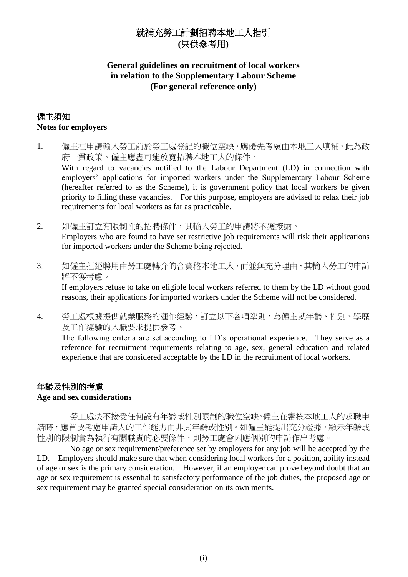# 就補充勞工計劃招聘本地工人指引 **(**只供參考用**)**

#### **General guidelines on recruitment of local workers in relation to the Supplementary Labour Scheme (For general reference only)**

#### 僱主須知 **Notes for employers**

- 1. 僱主在申請輸入勞工前於勞工處登記的職位空缺,應優先考慮由本地工人填補,此為政 府一貫政策。僱主應盡可能放寬招聘本地工人的條件。 With regard to vacancies notified to the Labour Department (LD) in connection with employers' applications for imported workers under the Supplementary Labour Scheme (hereafter referred to as the Scheme), it is government policy that local workers be given priority to filling these vacancies. For this purpose, employers are advised to relax their job requirements for local workers as far as practicable.
- 2. 如僱主訂立有限制性的招聘條件,其輸入勞工的申請將不獲接納。 Employers who are found to have set restrictive job requirements will risk their applications for imported workers under the Scheme being rejected.
- 3. 如僱主拒絕聘用由勞工處轉介的合資格本地工人,而並無充分理由,其輸入勞工的申請 將不獲考慮。

If employers refuse to take on eligible local workers referred to them by the LD without good reasons, their applications for imported workers under the Scheme will not be considered.

4. 勞工處根據提供就業服務的運作經驗,訂立以下各項準則,為僱主就年齡、性別、學歷 及工作經驗的入職要求提供參考。

The following criteria are set according to LD's operational experience. They serve as a reference for recruitment requirements relating to age, sex, general education and related experience that are considered acceptable by the LD in the recruitment of local workers.

# 年齡及性別的考慮

#### **Age and sex considerations**

勞工處決不接受任何設有年齡或性別限制的職位空缺。僱主在審核本地工人的求職申 請時,應首要考慮申請人的工作能力而非其年齡或性別。如僱主能提出充分證據,顯示年齡或 性別的限制實為執行有關職責的必要條件,則勞工處會因應個別的申請作出考慮。

No age or sex requirement/preference set by employers for any job will be accepted by the LD. Employers should make sure that when considering local workers for a position, ability instead of age or sex is the primary consideration. However, if an employer can prove beyond doubt that an age or sex requirement is essential to satisfactory performance of the job duties, the proposed age or sex requirement may be granted special consideration on its own merits.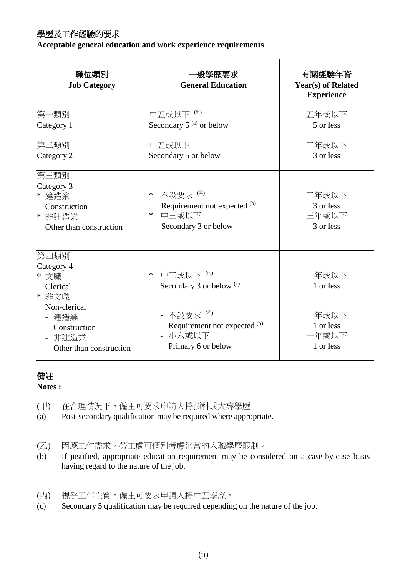## 學歷及工作經驗的要求

**Acceptable general education and work experience requirements**

| 職位類別<br><b>Job Category</b>                                                       | 一般學歷要求<br><b>General Education</b>                                                     | 有關經驗年資<br><b>Year(s)</b> of Related<br><b>Experience</b> |
|-----------------------------------------------------------------------------------|----------------------------------------------------------------------------------------|----------------------------------------------------------|
| 第一類別<br>Category 1                                                                | 中五或以下(甲)<br>Secondary 5 <sup>(a)</sup> or below                                        | 五年或以下<br>5 or less                                       |
|                                                                                   |                                                                                        |                                                          |
| 第二類別                                                                              | 中五或以下                                                                                  | 三年或以下                                                    |
| Category 2                                                                        | Secondary 5 or below                                                                   | 3 or less                                                |
| 第三類別<br>Category 3<br>* 建造業<br>Construction<br> * 非建造業<br>Other than construction | 不設要求(2)<br>*<br>Requirement not expected (b)<br>中三或以下<br>*<br>Secondary 3 or below     | 三年或以下<br>3 or less<br>三年或以下<br>3 or less                 |
| 第四類別<br>Category 4<br>* 文職<br>Clerical<br>* 非文職<br>Non-clerical                   | 中三或以下(丙)<br>$\ast$<br>Secondary 3 or below <sup>(c)</sup>                              | 一年或以下<br>1 or less                                       |
| 建造業<br>Construction<br>非建造業<br>$\blacksquare$<br>Other than construction          | - 不設要求 <sup>(乙)</sup><br>Requirement not expected (b)<br>- 小六或以下<br>Primary 6 or below | 一年或以下<br>1 or less<br>一年或以下<br>1 or less                 |

## 備註

**Notes :**

- (甲) 在合理情況下,僱主可要求申請人持預科或大專學歷。
- (a) Post-secondary qualification may be required where appropriate.
- (乙) 因應工作需求,勞工處可個別考慮適當的入職學歷限制。
- (b) If justified, appropriate education requirement may be considered on a case-by-case basis having regard to the nature of the job.
- (丙) 視乎工作性質,僱主可要求申請人持中五學歷。
- (c) Secondary 5 qualification may be required depending on the nature of the job.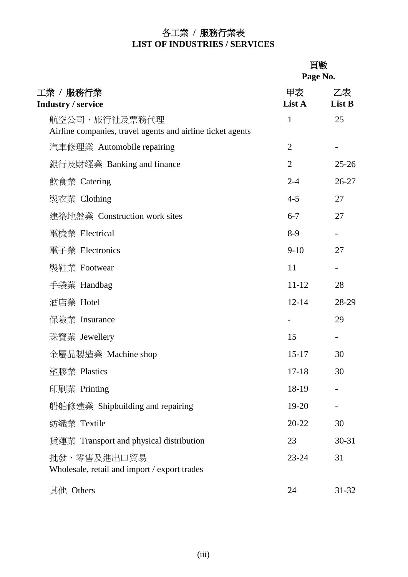# 各工業 **/** 服務行業表 **LIST OF INDUSTRIES / SERVICES**

# 頁數

|                                                                             | Page No.       |              |
|-----------------------------------------------------------------------------|----------------|--------------|
| 工業 / 服務行業<br><b>Industry / service</b>                                      | 甲表<br>List A   | 乙表<br>List B |
| 航空公司、旅行社及票務代理<br>Airline companies, travel agents and airline ticket agents | 1              | 25           |
| 汽車修理業 Automobile repairing                                                  | $\overline{2}$ |              |
| 銀行及財經業 Banking and finance                                                  | $\overline{2}$ | $25 - 26$    |
| 飲食業 Catering                                                                | $2 - 4$        | $26 - 27$    |
| 製衣業 Clothing                                                                | $4 - 5$        | 27           |
| 建築地盤業 Construction work sites                                               | $6 - 7$        | 27           |
| 電機業 Electrical                                                              | $8-9$          |              |
| 電子業 Electronics                                                             | $9-10$         | 27           |
| 製鞋業 Footwear                                                                | 11             |              |
| 手袋業 Handbag                                                                 | $11 - 12$      | 28           |
| 酒店業 Hotel                                                                   | $12 - 14$      | 28-29        |
| 保險業 Insurance                                                               |                | 29           |
| 珠寶業 Jewellery                                                               | 15             |              |
| 金屬品製造業 Machine shop                                                         | $15 - 17$      | 30           |
| 塑膠業 Plastics                                                                | $17 - 18$      | 30           |
| 印刷業 Printing                                                                | 18-19          |              |
| 船舶修建業 Shipbuilding and repairing                                            | 19-20          |              |
| 紡織業 Textile                                                                 | $20 - 22$      | 30           |
| 貨運業 Transport and physical distribution                                     | 23             | $30 - 31$    |
| 批發、零售及進出口貿易<br>Wholesale, retail and import / export trades                 | $23 - 24$      | 31           |
| 其他 Others                                                                   | 24             | $31 - 32$    |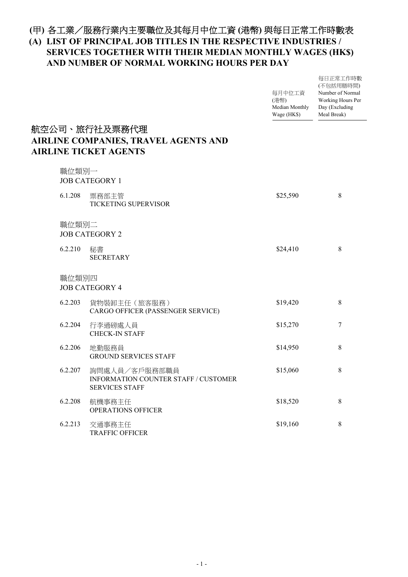### 各工業/服務行業內主要職位及其每月中位工資 **(**港幣**)** 與每日正常工作時數表 **(**甲**)**

#### **LIST OF PRINCIPAL JOB TITLES IN THE RESPECTIVE INDUSTRIES / (A) SERVICES TOGETHER WITH THEIR MEDIAN MONTHLY WAGES (HK\$) AND NUMBER OF NORMAL WORKING HOURS PER DAY**

每日正常工作時數

|         |                                                                                              | 每月中位工資<br>(港幣)<br>Median Monthly<br>Wage (HK\$) | (不包括用膳時間)<br>Number of Normal<br>Working Hours Per<br>Day (Excluding<br>Meal Break) |
|---------|----------------------------------------------------------------------------------------------|-------------------------------------------------|-------------------------------------------------------------------------------------|
|         | 航空公司、旅行社及票務代理<br><b>AIRLINE COMPANIES, TRAVEL AGENTS AND</b><br><b>AIRLINE TICKET AGENTS</b> |                                                 |                                                                                     |
|         | 職位類別一<br><b>JOB CATEGORY 1</b>                                                               |                                                 |                                                                                     |
| 6.1.208 | 票務部主管<br>TICKETING SUPERVISOR                                                                | \$25,590                                        | 8                                                                                   |
|         | 職位類別二<br><b>JOB CATEGORY 2</b>                                                               |                                                 |                                                                                     |
| 6.2.210 | 秘書<br><b>SECRETARY</b>                                                                       | \$24,410                                        | 8                                                                                   |
|         | 職位類別四<br><b>JOB CATEGORY 4</b>                                                               |                                                 |                                                                                     |
| 6.2.203 | 貨物裝卸主任 (旅客服務)<br>CARGO OFFICER (PASSENGER SERVICE)                                           | \$19,420                                        | 8                                                                                   |
| 6.2.204 | 行李過磅處人員<br><b>CHECK-IN STAFF</b>                                                             | \$15,270                                        | $\boldsymbol{7}$                                                                    |
| 6.2.206 | 地勤服務員<br><b>GROUND SERVICES STAFF</b>                                                        | \$14,950                                        | 8                                                                                   |
| 6.2.207 | 詢問處人員/客戶服務部職員<br>INFORMATION COUNTER STAFF / CUSTOMER<br><b>SERVICES STAFF</b>               | \$15,060                                        | 8                                                                                   |
| 6.2.208 | 航機事務主任<br><b>OPERATIONS OFFICER</b>                                                          | \$18,520                                        | 8                                                                                   |
| 6.2.213 | 交通事務主任<br><b>TRAFFIC OFFICER</b>                                                             | \$19,160                                        | 8                                                                                   |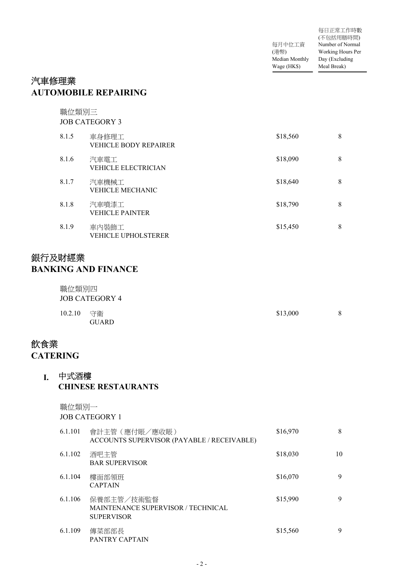|                | 每日正常工作時數          |
|----------------|-------------------|
|                | (不包括用膳時間)         |
| 每月中位工資         | Number of Normal  |
| (港幣)           | Working Hours Per |
| Median Monthly | Day (Excluding    |
| Wage (HK\$)    | Meal Break)       |

## 汽車修理業 **AUTOMOBILE REPAIRING**

職位類別三 JOB CATEGORY 3

| 8.1.5 | 車身修理工<br><b>VEHICLE BODY REPAIRER</b> | \$18,560 | 8 |
|-------|---------------------------------------|----------|---|
| 8.1.6 | 汽車電工<br><b>VEHICLE ELECTRICIAN</b>    | \$18,090 | 8 |
| 8.1.7 | 汽車機械工<br><b>VEHICLE MECHANIC</b>      | \$18,640 | 8 |
| 8.1.8 | 汽車噴漆工<br><b>VEHICLE PAINTER</b>       | \$18,790 | 8 |
| 8.1.9 | 車内裝飾工<br><b>VEHICLE UPHOLSTERER</b>   | \$15,450 | 8 |

# 銀行及財經業 **BANKING AND FINANCE**

| 職位類別四      | JOB CATEGORY 4 |          |   |
|------------|----------------|----------|---|
| 10.2.10 守衛 | <b>GUARD</b>   | \$13,000 | 8 |

# 飲食業 **CATERING**

#### 中式酒樓 **I. CHINESE RESTAURANTS**

職位類別一

JOB CATEGORY 1

| 6.1.101 | 會計主管 (應付賬/應收賬)<br>ACCOUNTS SUPERVISOR (PAYABLE / RECEIVABLE)          | \$16,970 | 8  |
|---------|-----------------------------------------------------------------------|----------|----|
| 6.1.102 | 酒吧主管<br><b>BAR SUPERVISOR</b>                                         | \$18,030 | 10 |
| 6.1.104 | 樓面部領班<br><b>CAPTAIN</b>                                               | \$16,070 | 9  |
| 6.1.106 | 保養部主管/技術監督<br>MAINTENANCE SUPERVISOR / TECHNICAL<br><b>SUPERVISOR</b> | \$15,990 | 9  |
| 6.1.109 | 傳菜部部長<br>PANTRY CAPTAIN                                               | \$15,560 | 9  |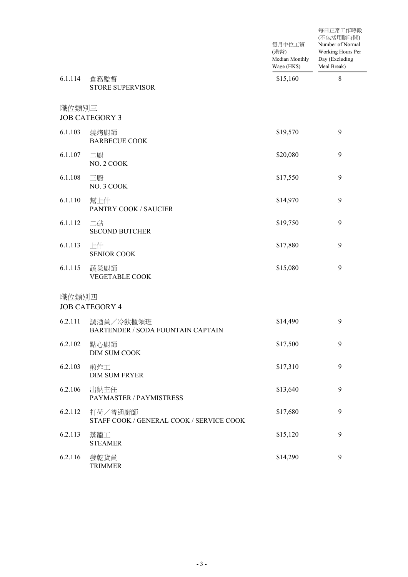|         |                                                     | 每月中位工資<br>(港幣)<br>Median Monthly<br>Wage (HK\$) | 每日正常工作時數<br>(不包括用膳時間)<br>Number of Normal<br>Working Hours Per<br>Day (Excluding<br>Meal Break) |
|---------|-----------------------------------------------------|-------------------------------------------------|-------------------------------------------------------------------------------------------------|
| 6.1.114 | 倉務監督<br><b>STORE SUPERVISOR</b>                     | \$15,160                                        | $\,$ $\,$                                                                                       |
| 職位類別三   | <b>JOB CATEGORY 3</b>                               |                                                 |                                                                                                 |
| 6.1.103 | 燒烤廚師<br><b>BARBECUE COOK</b>                        | \$19,570                                        | 9                                                                                               |
| 6.1.107 | 二廚<br>NO. 2 COOK                                    | \$20,080                                        | 9                                                                                               |
| 6.1.108 | 三廚<br>NO. 3 COOK                                    | \$17,550                                        | 9                                                                                               |
| 6.1.110 | 幫上什<br>PANTRY COOK / SAUCIER                        | \$14,970                                        | 9                                                                                               |
| 6.1.112 | 二砧<br><b>SECOND BUTCHER</b>                         | \$19,750                                        | 9                                                                                               |
| 6.1.113 | 上什<br><b>SENIOR COOK</b>                            | \$17,880                                        | 9                                                                                               |
| 6.1.115 | 蔬菜廚師<br><b>VEGETABLE COOK</b>                       | \$15,080                                        | 9                                                                                               |
| 職位類別四   | <b>JOB CATEGORY 4</b>                               |                                                 |                                                                                                 |
| 6.2.111 | 調酒員/冷飲櫃領班<br>BARTENDER / SODA FOUNTAIN CAPTAIN      | \$14,490                                        | 9                                                                                               |
| 6.2.102 | 點心廚師<br>DIM SUM COOK                                | \$17,500                                        | 9                                                                                               |
| 6.2.103 | 煎炸工<br><b>DIM SUM FRYER</b>                         | \$17,310                                        | 9                                                                                               |
| 6.2.106 | 出納主任<br>PAYMASTER / PAYMISTRESS                     | \$13,640                                        | 9                                                                                               |
| 6.2.112 | 打荷/普通廚師<br>STAFF COOK / GENERAL COOK / SERVICE COOK | \$17,680                                        | 9                                                                                               |
| 6.2.113 | 蒸籠工<br><b>STEAMER</b>                               | \$15,120                                        | 9                                                                                               |
| 6.2.116 | 發乾貨員<br><b>TRIMMER</b>                              | \$14,290                                        | 9                                                                                               |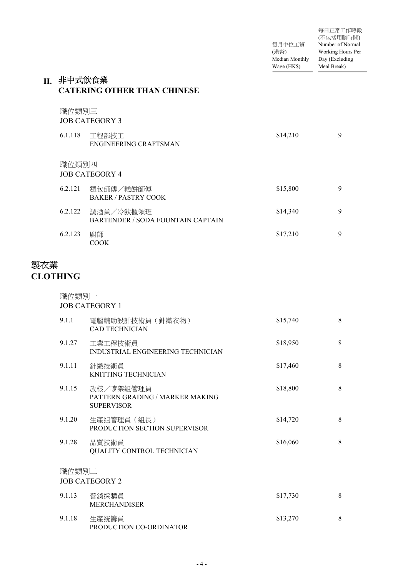每月中位工資 (港幣) Median Monthly Wage (HK\$) 每日正常工作時數 (不包括用膳時間) Number of Normal Working Hours Per Day (Excluding Meal Break)

#### II.非中式飲食業 **CATERING OTHER THAN CHINESE**

職位類別三

JOB CATEGORY 3

| 6.1.118 | 工程部技工<br>ENGINEERING CRAFTSMAN                 | \$14,210 | 9 |
|---------|------------------------------------------------|----------|---|
| 職位類別四   | <b>JOB CATEGORY 4</b>                          |          |   |
| 6.2.121 | 麵包師傅/糕餅師傅<br><b>BAKER / PASTRY COOK</b>        | \$15,800 | 9 |
| 6.2.122 | 調酒員/冷飲櫃領班<br>BARTENDER / SODA FOUNTAIN CAPTAIN | \$14,340 | 9 |
| 6.2.123 | 廚師<br><b>COOK</b>                              | \$17,210 | 9 |

# 製衣業 **CLOTHING**

職位類別一 JOB CATEGORY 1 電腦輔助設計技術員(針織衣物) 9.1.1 \$15,740 8 CAD TECHNICIAN 工業工程技術員 9.1.27 \$18,950 8 INDUSTRIAL ENGINEERING TECHNICIAN 針織技術員 9.1.11 \$17,460 8 KNITTING TECHNICIAN 放樣/嘜架組管理員 9.1.15 \$18,800 8 PATTERN GRADING / MARKER MAKING SUPERVISOR 生產組管理員(組長) 9.1.20 \$14,720 8 PRODUCTION SECTION SUPERVISOR 9.1.28 品質技術員 \$16,060 8 QUALITY CONTROL TECHNICIAN 職位類別二 JOB CATEGORY 2 營銷採購員 9.1.13 \$17,730 8 MERCHANDISER 生產統籌員 9.1.18 \$13,270 8

- 4 -

PRODUCTION CO-ORDINATOR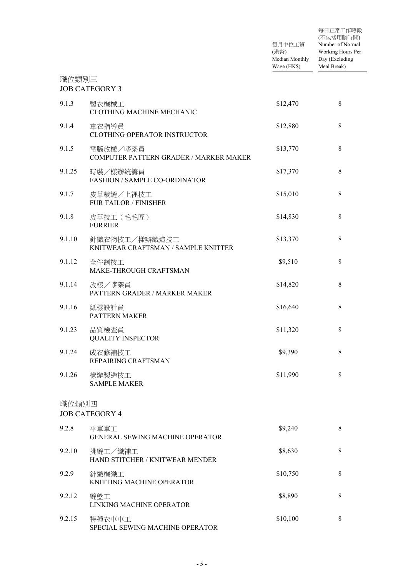|        |                                                      | 每月中位工資<br>(港幣)<br>Median Monthly<br>Wage (HK\$) | 每日正常工作時數<br>(不包括用膳時間)<br>Number of Normal<br>Working Hours Per<br>Day (Excluding<br>Meal Break) |
|--------|------------------------------------------------------|-------------------------------------------------|-------------------------------------------------------------------------------------------------|
| 職位類別三  | <b>JOB CATEGORY 3</b>                                |                                                 |                                                                                                 |
| 9.1.3  | 製衣機械工<br>CLOTHING MACHINE MECHANIC                   | \$12,470                                        | $\,8\,$                                                                                         |
| 9.1.4  | 車衣指導員<br>CLOTHING OPERATOR INSTRUCTOR                | \$12,880                                        | 8                                                                                               |
| 9.1.5  | 電腦放樣/嘜架員<br>COMPUTER PATTERN GRADER / MARKER MAKER   | \$13,770                                        | $\,8\,$                                                                                         |
| 9.1.25 | 時裝/樣辦統籌員<br><b>FASHION / SAMPLE CO-ORDINATOR</b>     | \$17,370                                        | $\,8\,$                                                                                         |
| 9.1.7  | 皮草裁縫/上裡技工<br>FUR TAILOR / FINISHER                   | \$15,010                                        | $\,8\,$                                                                                         |
| 9.1.8  | 皮草技工 (毛毛匠)<br><b>FURRIER</b>                         | \$14,830                                        | 8                                                                                               |
| 9.1.10 | 針織衣物技工/樣辦織造技工<br>KNITWEAR CRAFTSMAN / SAMPLE KNITTER | \$13,370                                        | 8                                                                                               |
| 9.1.12 | 全件制技工<br>MAKE-THROUGH CRAFTSMAN                      | \$9,510                                         | $\,8\,$                                                                                         |
| 9.1.14 | 放樣/嘜架員<br>PATTERN GRADER / MARKER MAKER              | \$14,820                                        | $\,8\,$                                                                                         |
| 9.1.16 | 紙樣設計員<br>PATTERN MAKER                               | \$16,640                                        | 8                                                                                               |
| 9.1.23 | 品質檢查員<br><b>QUALITY INSPECTOR</b>                    | \$11,320                                        | 8                                                                                               |
| 9.1.24 | 成衣修補技工<br>REPAIRING CRAFTSMAN                        | \$9,390                                         | $\,8\,$                                                                                         |
| 9.1.26 | 樣辦製造技工<br><b>SAMPLE MAKER</b>                        | \$11,990                                        | 8                                                                                               |
| 職位類別四  | <b>JOB CATEGORY 4</b>                                |                                                 |                                                                                                 |
| 9.2.8  | 平車車工<br><b>GENERAL SEWING MACHINE OPERATOR</b>       | \$9,240                                         | $\,8\,$                                                                                         |
| 9.2.10 | 挑縫工/織補工<br>HAND STITCHER / KNITWEAR MENDER           | \$8,630                                         | 8                                                                                               |
| 9.2.9  | 針織機織工<br>KNITTING MACHINE OPERATOR                   | \$10,750                                        | 8                                                                                               |
| 9.2.12 | 縫盤工<br>LINKING MACHINE OPERATOR                      | \$8,890                                         | $\,8\,$                                                                                         |
| 9.2.15 | 特種衣車車工<br>SPECIAL SEWING MACHINE OPERATOR            | \$10,100                                        | $\,8\,$                                                                                         |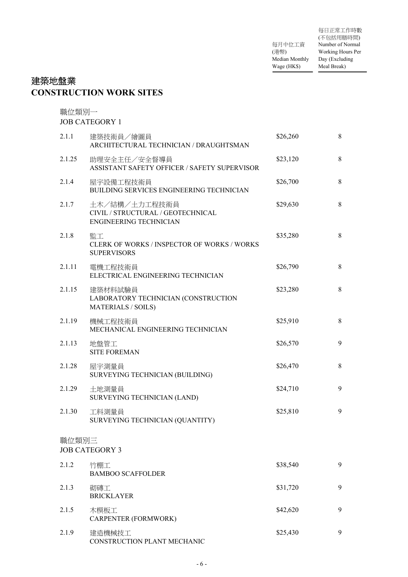每月中位工資 (港幣) Median Monthly Wage (HK\$) 每日正常工作時數 (不包括用膳時間) Number of Normal Working Hours Per Day (Excluding Meal Break)

# 建築地盤業 **CONSTRUCTION WORK SITES**

職位類別一

|        | <b>JOB CATEGORY 1</b>                                                               |          |   |
|--------|-------------------------------------------------------------------------------------|----------|---|
| 2.1.1  | 建築技術員/繪圖員<br>ARCHITECTURAL TECHNICIAN / DRAUGHTSMAN                                 | \$26,260 | 8 |
| 2.1.25 | 助理安全主任/安全督導員<br>ASSISTANT SAFETY OFFICER / SAFETY SUPERVISOR                        | \$23,120 | 8 |
| 2.1.4  | 屋宇設備工程技術員<br><b>BUILDING SERVICES ENGINEERING TECHNICIAN</b>                        | \$26,700 | 8 |
| 2.1.7  | 土木/結構/土力工程技術員<br>CIVIL / STRUCTURAL / GEOTECHNICAL<br><b>ENGINEERING TECHNICIAN</b> | \$29,630 | 8 |
| 2.1.8  | 監工<br>CLERK OF WORKS / INSPECTOR OF WORKS / WORKS<br><b>SUPERVISORS</b>             | \$35,280 | 8 |
| 2.1.11 | 電機工程技術員<br>ELECTRICAL ENGINEERING TECHNICIAN                                        | \$26,790 | 8 |
| 2.1.15 | 建築材料試驗員<br>LABORATORY TECHNICIAN (CONSTRUCTION<br><b>MATERIALS / SOILS)</b>         | \$23,280 | 8 |
| 2.1.19 | 機械工程技術員<br>MECHANICAL ENGINEERING TECHNICIAN                                        | \$25,910 | 8 |
| 2.1.13 | 地盤管工<br><b>SITE FOREMAN</b>                                                         | \$26,570 | 9 |
| 2.1.28 | 屋宇測量員<br>SURVEYING TECHNICIAN (BUILDING)                                            | \$26,470 | 8 |
| 2.1.29 | 土地測量員<br>SURVEYING TECHNICIAN (LAND)                                                | \$24,710 | 9 |
| 2.1.30 | 工料測量員<br>SURVEYING TECHNICIAN (QUANTITY)                                            | \$25,810 | 9 |
| 職位類別三  | <b>JOB CATEGORY 3</b>                                                               |          |   |
| 2.1.2  | 竹棚工<br><b>BAMBOO SCAFFOLDER</b>                                                     | \$38,540 | 9 |
| 2.1.3  | 砌磚工<br><b>BRICKLAYER</b>                                                            | \$31,720 | 9 |
| 2.1.5  | 木模板工<br>CARPENTER (FORMWORK)                                                        | \$42,620 | 9 |
| 2.1.9  | 建造機械技工                                                                              | \$25,430 | 9 |

CONSTRUCTION PLANT MECHANIC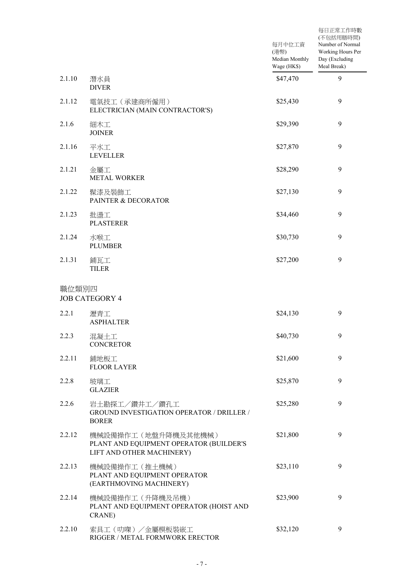|        |                                                                                             | 每月中位工資<br>(港幣)<br>Median Monthly<br>Wage (HK\$) | 每日正常工作時數<br>(不包括用膳時間)<br>Number of Normal<br>Working Hours Per<br>Day (Excluding<br>Meal Break) |
|--------|---------------------------------------------------------------------------------------------|-------------------------------------------------|-------------------------------------------------------------------------------------------------|
| 2.1.10 | 潛水員<br><b>DIVER</b>                                                                         | \$47,470                                        | 9                                                                                               |
| 2.1.12 | 電氣技工 (承建商所僱用)<br>ELECTRICIAN (MAIN CONTRACTOR'S)                                            | \$25,430                                        | 9                                                                                               |
| 2.1.6  | 細木工<br><b>JOINER</b>                                                                        | \$29,390                                        | 9                                                                                               |
| 2.1.16 | 平水工<br><b>LEVELLER</b>                                                                      | \$27,870                                        | 9                                                                                               |
| 2.1.21 | 金屬工<br><b>METAL WORKER</b>                                                                  | \$28,290                                        | 9                                                                                               |
| 2.1.22 | 髹漆及裝飾工<br>PAINTER & DECORATOR                                                               | \$27,130                                        | 9                                                                                               |
| 2.1.23 | 批盪工<br><b>PLASTERER</b>                                                                     | \$34,460                                        | 9                                                                                               |
| 2.1.24 | 水喉工<br><b>PLUMBER</b>                                                                       | \$30,730                                        | 9                                                                                               |
| 2.1.31 | 鋪瓦工<br><b>TILER</b>                                                                         | \$27,200                                        | 9                                                                                               |
| 職位類別四  | <b>JOB CATEGORY 4</b>                                                                       |                                                 |                                                                                                 |
| 2.2.1  | 瀝青工<br><b>ASPHALTER</b>                                                                     | \$24,130                                        | 9                                                                                               |
| 2.2.3  | 混凝土工<br><b>CONCRETOR</b>                                                                    | \$40,730                                        | 9                                                                                               |
| 2.2.11 | 鋪地板工<br><b>FLOOR LAYER</b>                                                                  | \$21,600                                        | 9                                                                                               |
| 2.2.8  | 玻璃工<br><b>GLAZIER</b>                                                                       | \$25,870                                        | 9                                                                                               |
| 2.2.6  | 岩土勘探工/鑽井工/鑽孔工<br>GROUND INVESTIGATION OPERATOR / DRILLER /<br><b>BORER</b>                  | \$25,280                                        | 9                                                                                               |
| 2.2.12 | 機械設備操作工(地盤升降機及其他機械)<br>PLANT AND EQUIPMENT OPERATOR (BUILDER'S<br>LIFT AND OTHER MACHINERY) | \$21,800                                        | 9                                                                                               |
| 2.2.13 | 機械設備操作工 (推土機械)<br>PLANT AND EQUIPMENT OPERATOR<br>(EARTHMOVING MACHINERY)                   | \$23,110                                        | 9                                                                                               |
| 2.2.14 | 機械設備操作工 (升降機及吊機)<br>PLANT AND EQUIPMENT OPERATOR (HOIST AND<br>CRANE)                       | \$23,900                                        | 9                                                                                               |
| 2.2.10 | 索具工(叻㗎)/金屬模板裝嵌工<br>RIGGER / METAL FORMWORK ERECTOR                                          | \$32,120                                        | 9                                                                                               |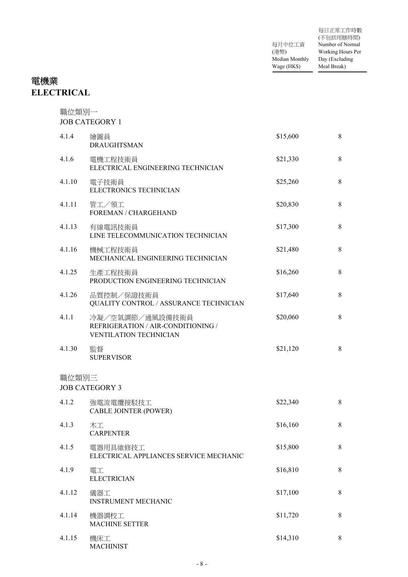|                | 每日正常工作時數          |
|----------------|-------------------|
|                | (不包括用膳時間)         |
| 每月中位工資         | Number of Normal  |
| (港幣)           | Working Hours Per |
| Median Monthly | Day (Excluding    |
| Wage (HK\$)    | Meal Break)       |

# 電機業 **ELECTRICAL**

| 職位類別一  | <b>JOB CATEGORY 1</b>                                                                  |          |         |
|--------|----------------------------------------------------------------------------------------|----------|---------|
| 4.1.4  | 繪圖員<br><b>DRAUGHTSMAN</b>                                                              | \$15,600 | 8       |
| 4.1.6  | 電機工程技術員<br>ELECTRICAL ENGINEERING TECHNICIAN                                           | \$21,330 | $\,8\,$ |
| 4.1.10 | 電子技術員<br>ELECTRONICS TECHNICIAN                                                        | \$25,260 | 8       |
| 4.1.11 | 管工/領工<br>FOREMAN / CHARGEHAND                                                          | \$20,830 | $8\,$   |
| 4.1.13 | 有線電訊技術員<br>LINE TELECOMMUNICATION TECHNICIAN                                           | \$17,300 | 8       |
| 4.1.16 | 機械工程技術員<br>MECHANICAL ENGINEERING TECHNICIAN                                           | \$21,480 | $\,8\,$ |
| 4.1.25 | 生產工程技術員<br>PRODUCTION ENGINEERING TECHNICIAN                                           | \$16,260 | 8       |
| 4.1.26 | 品質控制/保證技術員<br>QUALITY CONTROL / ASSURANCE TECHNICIAN                                   | \$17,640 | $\,8\,$ |
| 4.1.1  | 冷凝/空氣調節/通風設備技術員<br>REFRIGERATION / AIR-CONDITIONING /<br><b>VENTILATION TECHNICIAN</b> | \$20,060 | 8       |
| 4.1.30 | 監督<br><b>SUPERVISOR</b>                                                                | \$21,120 | 8       |
| 職位類別三  | <b>JOB CATEGORY 3</b>                                                                  |          |         |
| 4.1.2  | 強電流電纜接駁技工<br><b>CABLE JOINTER (POWER)</b>                                              | \$22,340 | 8       |
| 4.1.3  | 木工<br><b>CARPENTER</b>                                                                 | \$16,160 | 8       |
| 4.1.5  | 電器用具維修技工<br>ELECTRICAL APPLIANCES SERVICE MECHANIC                                     | \$15,800 | 8       |
| 4.1.9  | 電工<br><b>ELECTRICIAN</b>                                                               | \$16,810 | 8       |
| 4.1.12 | 儀器工<br><b>INSTRUMENT MECHANIC</b>                                                      | \$17,100 | 8       |
| 4.1.14 | 機器調校工<br><b>MACHINE SETTER</b>                                                         | \$11,720 | 8       |
| 4.1.15 | 機床工<br><b>MACHINIST</b>                                                                | \$14,310 | 8       |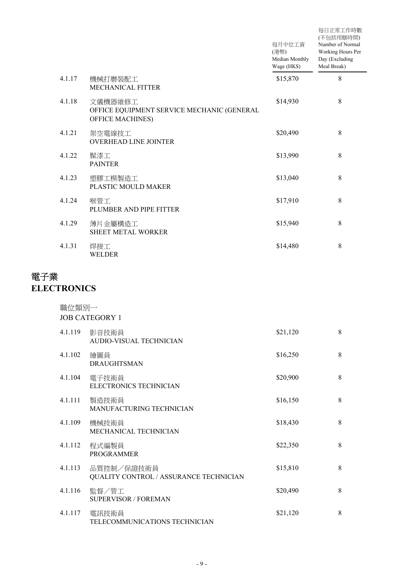|        |                                                                                  | 每月中位工資<br>(港幣)<br>Median Monthly<br>Wage (HK\$) | 每日正常工作時數<br>(不包括用膳時間)<br>Number of Normal<br>Working Hours Per<br>Day (Excluding<br>Meal Break) |
|--------|----------------------------------------------------------------------------------|-------------------------------------------------|-------------------------------------------------------------------------------------------------|
| 4.1.17 | 機械打磨裝配工<br><b>MECHANICAL FITTER</b>                                              | \$15,870                                        | 8                                                                                               |
| 4.1.18 | 文儀機器維修工<br>OFFICE EQUIPMENT SERVICE MECHANIC (GENERAL<br><b>OFFICE MACHINES)</b> | \$14,930                                        | 8                                                                                               |
| 4.1.21 | 架空電線技工<br><b>OVERHEAD LINE JOINTER</b>                                           | \$20,490                                        | 8                                                                                               |
| 4.1.22 | 髹漆工<br><b>PAINTER</b>                                                            | \$13,990                                        | 8                                                                                               |
| 4.1.23 | 塑膠工模製造工<br>PLASTIC MOULD MAKER                                                   | \$13,040                                        | 8                                                                                               |
| 4.1.24 | 喉管工<br>PLUMBER AND PIPE FITTER                                                   | \$17,910                                        | 8                                                                                               |
| 4.1.29 | 薄片金屬構造工<br><b>SHEET METAL WORKER</b>                                             | \$15,940                                        | 8                                                                                               |
| 4.1.31 | 焊接工<br>WELDER                                                                    | \$14,480                                        | 8                                                                                               |

# 電子業 **ELECTRONICS**

| 職位類別一   | <b>JOB CATEGORY 1</b>                                |          |   |
|---------|------------------------------------------------------|----------|---|
| 4.1.119 | 影音技術員<br><b>AUDIO-VISUAL TECHNICIAN</b>              | \$21,120 | 8 |
| 4.1.102 | 繪圖員<br><b>DRAUGHTSMAN</b>                            | \$16,250 | 8 |
| 4.1.104 | 電子技術員<br>ELECTRONICS TECHNICIAN                      | \$20,900 | 8 |
| 4.1.111 | 製造技術員<br>MANUFACTURING TECHNICIAN                    | \$16,150 | 8 |
| 4.1.109 | 機械技術員<br>MECHANICAL TECHNICIAN                       | \$18,430 | 8 |
| 4.1.112 | 程式編製員<br><b>PROGRAMMER</b>                           | \$22,350 | 8 |
| 4.1.113 | 品質控制/保證技術員<br>QUALITY CONTROL / ASSURANCE TECHNICIAN | \$15,810 | 8 |
| 4.1.116 | 監督/管工<br><b>SUPERVISOR / FOREMAN</b>                 | \$20,490 | 8 |
| 4.1.117 | 電訊技術員<br>TELECOMMUNICATIONS TECHNICIAN               | \$21,120 | 8 |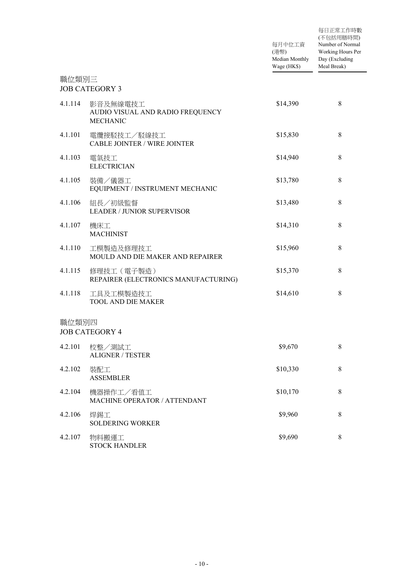|         |                                                                 | 每月中位工資<br>(港幣)<br>Median Monthly<br>Wage (HK\$) | 每日正常工作時數<br>(不包括用膳時間)<br>Number of Normal<br>Working Hours Per<br>Day (Excluding<br>Meal Break) |
|---------|-----------------------------------------------------------------|-------------------------------------------------|-------------------------------------------------------------------------------------------------|
| 職位類別三   | <b>JOB CATEGORY 3</b>                                           |                                                 |                                                                                                 |
| 4.1.114 | 影音及無線電技工<br>AUDIO VISUAL AND RADIO FREQUENCY<br><b>MECHANIC</b> | \$14,390                                        | $\,8\,$                                                                                         |
| 4.1.101 | 電纜接駁技工/駁線技工<br><b>CABLE JOINTER / WIRE JOINTER</b>              | \$15,830                                        | $\,8\,$                                                                                         |
| 4.1.103 | 電氣技工<br><b>ELECTRICIAN</b>                                      | \$14,940                                        | $\,8\,$                                                                                         |
| 4.1.105 | 裝備/儀器工<br>EQUIPMENT / INSTRUMENT MECHANIC                       | \$13,780                                        | $\,8\,$                                                                                         |
| 4.1.106 | 組長/初級監督<br><b>LEADER / JUNIOR SUPERVISOR</b>                    | \$13,480                                        | 8                                                                                               |
| 4.1.107 | 機床工<br><b>MACHINIST</b>                                         | \$14,310                                        | $\,8\,$                                                                                         |
| 4.1.110 | 工模製造及修理技工<br>MOULD AND DIE MAKER AND REPAIRER                   | \$15,960                                        | $\,8\,$                                                                                         |
| 4.1.115 | 修理技工 (電子製造)<br>REPAIRER (ELECTRONICS MANUFACTURING)             | \$15,370                                        | 8                                                                                               |
| 4.1.118 | 工具及工模製造技工<br><b>TOOL AND DIE MAKER</b>                          | \$14,610                                        | 8                                                                                               |
| 職位類別四   | <b>JOB CATEGORY 4</b>                                           |                                                 |                                                                                                 |
| 4.2.101 | 校整/測試工<br><b>ALIGNER / TESTER</b>                               | \$9,670                                         | 8                                                                                               |
| 4.2.102 | 裝配工<br><b>ASSEMBLER</b>                                         | \$10,330                                        | $\,8\,$                                                                                         |
| 4.2.104 | 機器操作工/看值工<br>MACHINE OPERATOR / ATTENDANT                       | \$10,170                                        | $8\,$                                                                                           |
| 4.2.106 | 焊錫工<br><b>SOLDERING WORKER</b>                                  | \$9,960                                         | $\,8\,$                                                                                         |
| 4.2.107 | 物料搬運工<br><b>STOCK HANDLER</b>                                   | \$9,690                                         | $8\,$                                                                                           |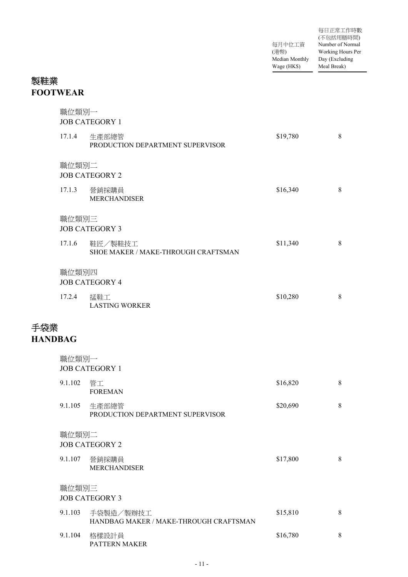| 每日正常工作時數          |
|-------------------|
| (不包括用膳時間)         |
| Number of Normal  |
| Working Hours Per |
| Day (Excluding    |
| Meal Break)       |
|                   |

# 製鞋業 **FOOTWEAR**

|                       | 職位類別一   | <b>JOB CATEGORY 1</b>                               |          |       |
|-----------------------|---------|-----------------------------------------------------|----------|-------|
|                       | 17.1.4  | 生產部總管<br>PRODUCTION DEPARTMENT SUPERVISOR           | \$19,780 | 8     |
|                       | 職位類別二   | <b>JOB CATEGORY 2</b>                               |          |       |
|                       | 17.1.3  | 營銷採購員<br><b>MERCHANDISER</b>                        | \$16,340 | $8\,$ |
|                       | 職位類別三   | <b>JOB CATEGORY 3</b>                               |          |       |
|                       | 17.1.6  | 鞋匠/製鞋技工<br>SHOE MAKER / MAKE-THROUGH CRAFTSMAN      | \$11,340 | 8     |
|                       | 職位類別四   | <b>JOB CATEGORY 4</b>                               |          |       |
|                       | 17.2.4  | 猛鞋工<br><b>LASTING WORKER</b>                        | \$10,280 | $8\,$ |
| 手袋業<br><b>HANDBAG</b> |         |                                                     |          |       |
|                       | 職位類別一   | <b>JOB CATEGORY 1</b>                               |          |       |
|                       | 9.1.102 | 管工<br><b>FOREMAN</b>                                | \$16,820 | $8\,$ |
|                       | 9.1.105 | 生產部總管<br>PRODUCTION DEPARTMENT SUPERVISOR           | \$20,690 | $8\,$ |
|                       | 職位類別二   | <b>JOB CATEGORY 2</b>                               |          |       |
|                       | 9.1.107 | 營銷採購員<br><b>MERCHANDISER</b>                        | \$17,800 | $8\,$ |
|                       | 職位類別三   | <b>JOB CATEGORY 3</b>                               |          |       |
|                       | 9.1.103 | 手袋製造/製辦技工<br>HANDBAG MAKER / MAKE-THROUGH CRAFTSMAN | \$15,810 | 8     |
|                       | 9.1.104 | 格樣設計員<br><b>PATTERN MAKER</b>                       | \$16,780 | 8     |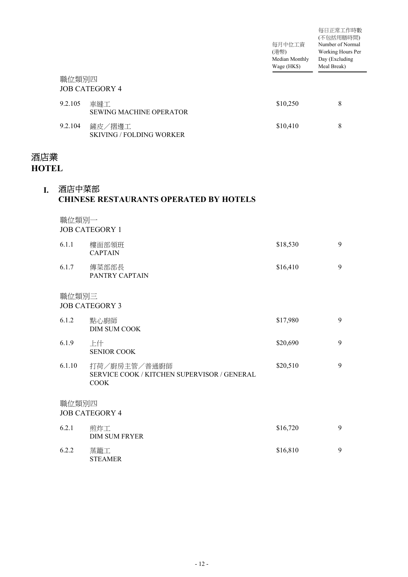|                     |         |                                                                     | 每月中位工資<br>(港幣)<br>Median Monthly<br>Wage (HK\$) | 每日正常工作時數<br>(不包括用膳時間)<br>Number of Normal<br>Working Hours Per<br>Day (Excluding<br>Meal Break) |
|---------------------|---------|---------------------------------------------------------------------|-------------------------------------------------|-------------------------------------------------------------------------------------------------|
|                     | 職位類別四   | <b>JOB CATEGORY 4</b>                                               |                                                 |                                                                                                 |
|                     | 9.2.105 | 車縫工<br><b>SEWING MACHINE OPERATOR</b>                               | \$10,250                                        | $\,8\,$                                                                                         |
|                     | 9.2.104 | 鏟皮/摺邊工<br><b>SKIVING / FOLDING WORKER</b>                           | \$10,410                                        | $\,8\,$                                                                                         |
| 酒店業<br><b>HOTEL</b> |         |                                                                     |                                                 |                                                                                                 |
| I.                  | 酒店中菜部   | <b>CHINESE RESTAURANTS OPERATED BY HOTELS</b>                       |                                                 |                                                                                                 |
|                     | 職位類別一   | <b>JOB CATEGORY 1</b>                                               |                                                 |                                                                                                 |
|                     | 6.1.1   | 樓面部領班<br><b>CAPTAIN</b>                                             | \$18,530                                        | 9                                                                                               |
|                     | 6.1.7   | 傳菜部部長<br>PANTRY CAPTAIN                                             | \$16,410                                        | 9                                                                                               |
|                     | 職位類別三   | <b>JOB CATEGORY 3</b>                                               |                                                 |                                                                                                 |
|                     | 6.1.2   | 點心廚師<br><b>DIM SUM COOK</b>                                         | \$17,980                                        | 9                                                                                               |
|                     | 6.1.9   | 上什<br><b>SENIOR COOK</b>                                            | \$20,690                                        | 9                                                                                               |
|                     | 6.1.10  | 打荷/廚房主管/普通廚師<br>SERVICE COOK / KITCHEN SUPERVISOR / GENERAL<br>COOK | \$20,510                                        | 9                                                                                               |
|                     | 職位類別四   | <b>JOB CATEGORY 4</b>                                               |                                                 |                                                                                                 |
|                     | 6.2.1   | 煎炸工<br><b>DIM SUM FRYER</b>                                         | \$16,720                                        | 9                                                                                               |
|                     | 6.2.2   | 蒸籠工<br><b>STEAMER</b>                                               | \$16,810                                        | 9                                                                                               |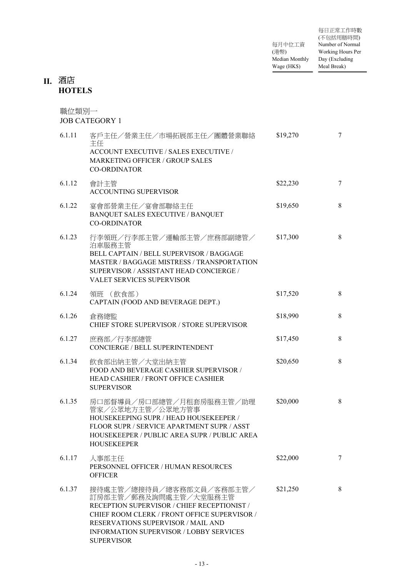| 每日正常工作時數          |
|-------------------|
| (不包括用膳時間)         |
| Number of Normal  |
| Working Hours Per |
| Day (Excluding    |
| Meal Break)       |
|                   |

#### 酒店 **II. HOTELS**

#### 職位類別一 JOB CATEGORY 1 6.1.11 客戶主任/營業主任/市場拓展部主任/團體營業聯絡 \$19,270 7 主任 ACCOUNT EXECUTIVE / SALES EXECUTIVE / MARKETING OFFICER / GROUP SALES CO-ORDINATOR 6.1.12 會計主管 \$22,230 7 ACCOUNTING SUPERVISOR 宴會部營業主任/宴會部聯絡主任 6.1.22 \$19,650 8 BANQUET SALES EXECUTIVE / BANQUET CO-ORDINATOR 6.1.23 行李領班/行李部主管/運輸部主管/庶務部副總管/ \$17,300 8 泊車服務主管 BELL CAPTAIN / BELL SUPERVISOR / BAGGAGE MASTER / BAGGAGE MISTRESS / TRANSPORTATION SUPERVISOR / ASSISTANT HEAD CONCIERGE / VALET SERVICES SUPERVISOR 領班 (飲食部) 6.1.24 \$17,520 8 CAPTAIN (FOOD AND BEVERAGE DEPT.) 倉務總監 CHIEF STORE SUPERVISOR / STORE SUPERVISOR 6.1.26 倉務總監 \$18,990 8 6.1.27 庶務部/行李部總管 \$17,450 8 CONCIERGE / BELL SUPERINTENDENT 6.1.34 飲食部出納主管/大堂出納主管 \$20,650 8 FOOD AND BEVERAGE CASHIER SUPERVISOR / HEAD CASHIER / FRONT OFFICE CASHIER SUPERVISOR 6.1.35 房口部督導員/房口部總管/月租套房服務主管/助理 \$20,000 8 管家/公眾地方主管/公眾地方管事 HOUSEKEEPING SUPR / HEAD HOUSEKEEPER / FLOOR SUPR / SERVICE APARTMENT SUPR / ASST HOUSEKEEPER / PUBLIC AREA SUPR / PUBLIC AREA HOUSEKEEPER 6.1.17 人事部主任 \$22,000 7 PERSONNEL OFFICER / HUMAN RESOURCES **OFFICER**  $6.1.37$  接待處主管/總接待員/總客務部文員/客務部主管/  $$21,250$   $$8$ 訂房部主管/郵務及詢問處主管/大堂服務主管 RECEPTION SUPERVISOR / CHIEF RECEPTIONIST / CHIEF ROOM CLERK / FRONT OFFICE SUPERVISOR / RESERVATIONS SUPERVISOR / MAIL AND INFORMATION SUPERVISOR / LOBBY SERVICES

SUPERVISOR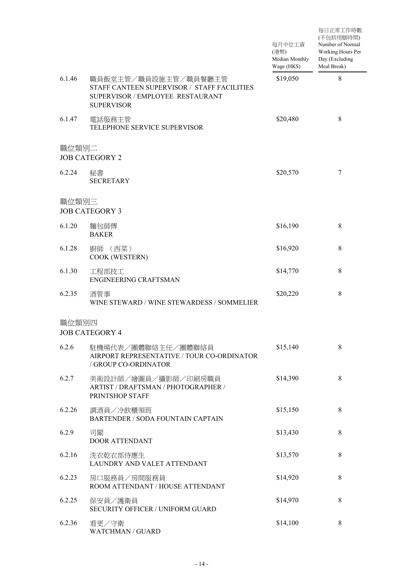|        |                                                                                                                              | 每月中位工資<br>(港幣)<br>Median Monthly<br>Wage (HK\$) | 每日正常工作時數<br>(不包括用膳時間)<br>Number of Normal<br>Working Hours Per<br>Day (Excluding<br>Meal Break) |
|--------|------------------------------------------------------------------------------------------------------------------------------|-------------------------------------------------|-------------------------------------------------------------------------------------------------|
| 6.1.46 | 職員飯堂主管/職員設施主管/職員餐廳主管<br>STAFF CANTEEN SUPERVISOR / STAFF FACILITIES<br>SUPERVISOR / EMPLOYEE RESTAURANT<br><b>SUPERVISOR</b> | \$19,050                                        | 8                                                                                               |
| 6.1.47 | 電話服務主管<br>TELEPHONE SERVICE SUPERVISOR                                                                                       | \$20,480                                        | $\,8\,$                                                                                         |
| 職位類別二  | <b>JOB CATEGORY 2</b>                                                                                                        |                                                 |                                                                                                 |
| 6.2.24 | 秘書<br><b>SECRETARY</b>                                                                                                       | \$20,570                                        | 7                                                                                               |
| 職位類別三  | <b>JOB CATEGORY 3</b>                                                                                                        |                                                 |                                                                                                 |
| 6.1.20 | 麵包師傅<br><b>BAKER</b>                                                                                                         | \$16,190                                        | $8\,$                                                                                           |
| 6.1.28 | (西菜)<br>廚師<br>COOK (WESTERN)                                                                                                 | \$16,920                                        | 8                                                                                               |
| 6.1.30 | 工程部技工<br><b>ENGINEERING CRAFTSMAN</b>                                                                                        | \$14,770                                        | 8                                                                                               |
| 6.2.35 | 酒管事<br>WINE STEWARD / WINE STEWARDESS / SOMMELIER                                                                            | \$20,220                                        | 8                                                                                               |
| 職位類別四  | <b>JOB CATEGORY 4</b>                                                                                                        |                                                 |                                                                                                 |
| 6.2.6  | 駐機場代表/團體聯絡主任/團體聯絡員<br>AIRPORT REPRESENTATIVE / TOUR CO-ORDINATOR<br>/ GROUP CO-ORDINATOR                                     | \$15,140                                        | $8\,$                                                                                           |
| 6.2.7  | 美術設計師/繪圖員/攝影師/印刷房職員<br>ARTIST / DRAFTSMAN / PHOTOGRAPHER /<br>PRINTSHOP STAFF                                                | \$14,390                                        | 8                                                                                               |
| 6.2.26 | 調酒員/冷飲櫃領班<br><b>BARTENDER / SODA FOUNTAIN CAPTAIN</b>                                                                        | \$15,150                                        | $8\,$                                                                                           |
| 6.2.9  | 司閽<br><b>DOOR ATTENDANT</b>                                                                                                  | \$13,430                                        | 8                                                                                               |
| 6.2.16 | 洗衣乾衣部侍應生<br>LAUNDRY AND VALET ATTENDANT                                                                                      | \$13,570                                        | $8\,$                                                                                           |
| 6.2.23 | 房口服務員/房間服務員<br>ROOM ATTENDANT / HOUSE ATTENDANT                                                                              | \$14,920                                        | 8                                                                                               |
| 6.2.25 | 保安員/護衛員<br><b>SECURITY OFFICER / UNIFORM GUARD</b>                                                                           | \$14,970                                        | $8\,$                                                                                           |
| 6.2.36 | 看更/守衛<br>WATCHMAN / GUARD                                                                                                    | \$14,100                                        | 8                                                                                               |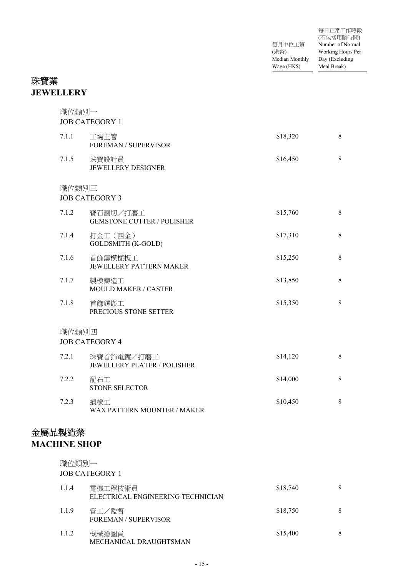|                | 每日正常工作時數          |
|----------------|-------------------|
|                | (不包括用膳時間)         |
| 每月中位工資         | Number of Normal  |
| (港幣)           | Working Hours Per |
| Median Monthly | Day (Excluding    |
| Wage (HK\$)    | Meal Break)       |

# 珠寶業 **JEWELLERY**

| 職位類別一<br><b>JOB CATEGORY 1</b> |                                               |          |   |
|--------------------------------|-----------------------------------------------|----------|---|
| 7.1.1                          | 工場主管<br>FOREMAN / SUPERVISOR                  | \$18,320 | 8 |
| 7.1.5                          | 珠寶設計員<br><b>JEWELLERY DESIGNER</b>            | \$16,450 | 8 |
| 職位類別三                          | <b>JOB CATEGORY 3</b>                         |          |   |
| 7.1.2                          | 寶石割切/打磨工<br><b>GEMSTONE CUTTER / POLISHER</b> | \$15,760 | 8 |
| 7.1.4                          | 打金工 (西金)<br><b>GOLDSMITH (K-GOLD)</b>         | \$17,310 | 8 |
| 7.1.6                          | 首飾鑄模樣板工<br>JEWELLERY PATTERN MAKER            | \$15,250 | 8 |
| 7.1.7                          | 製模鑄造工<br>MOULD MAKER / CASTER                 | \$13,850 | 8 |
| 7.1.8                          | 首飾鑲嵌工<br>PRECIOUS STONE SETTER                | \$15,350 | 8 |
| 職位類別四                          | <b>JOB CATEGORY 4</b>                         |          |   |
| 7.2.1                          | 珠寶首飾電鍍/打磨工<br>JEWELLERY PLATER / POLISHER     | \$14,120 | 8 |
| 7.2.2                          | 配石工<br><b>STONE SELECTOR</b>                  | \$14,000 | 8 |
| 7.2.3                          | 蠟樣工<br>WAX PATTERN MOUNTER / MAKER            | \$10,450 | 8 |
| 金屬品製造業<br><b>MACHINE SHOP</b>  |                                               |          |   |
| 職位類別一                          | <b>JOB CATEGORY 1</b>                         |          |   |
| 1.1.4                          | 電機工程技術員<br>ELECTRICAL ENGINEERING TECHNICIAN  | \$18,740 | 8 |
| 1.1.9                          | 管工/監督<br><b>FOREMAN / SUPERVISOR</b>          | \$18,750 | 8 |
| 1.1.2                          | 機械繪圖員<br>MECHANICAL DRAUGHTSMAN               | \$15,400 | 8 |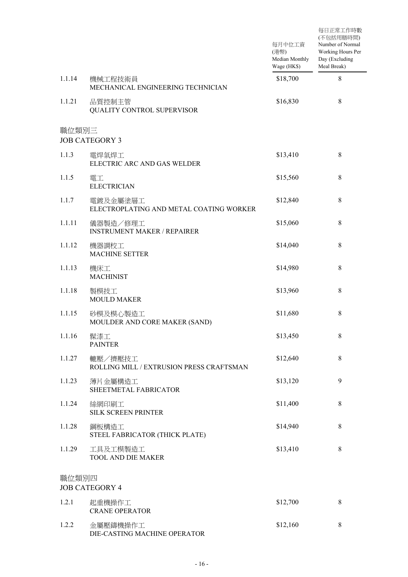|        |                                                     | 每月中位工資<br>(港幣)<br>Median Monthly<br>Wage (HK\$) | 每日正常工作時數<br>(不包括用膳時間)<br>Number of Normal<br>Working Hours Per<br>Day (Excluding<br>Meal Break) |
|--------|-----------------------------------------------------|-------------------------------------------------|-------------------------------------------------------------------------------------------------|
| 1.1.14 | 機械工程技術員<br>MECHANICAL ENGINEERING TECHNICIAN        | \$18,700                                        | 8                                                                                               |
| 1.1.21 | 品質控制主管<br>QUALITY CONTROL SUPERVISOR                | \$16,830                                        | 8                                                                                               |
| 職位類別三  | <b>JOB CATEGORY 3</b>                               |                                                 |                                                                                                 |
| 1.1.3  | 電焊氣焊工<br>ELECTRIC ARC AND GAS WELDER                | \$13,410                                        | 8                                                                                               |
| 1.1.5  | 電工<br><b>ELECTRICIAN</b>                            | \$15,560                                        | 8                                                                                               |
| 1.1.7  | 電鍍及金屬塗層工<br>ELECTROPLATING AND METAL COATING WORKER | \$12,840                                        | 8                                                                                               |
| 1.1.11 | 儀器製造/修理工<br><b>INSTRUMENT MAKER / REPAIRER</b>      | \$15,060                                        | 8                                                                                               |
| 1.1.12 | 機器調校工<br><b>MACHINE SETTER</b>                      | \$14,040                                        | 8                                                                                               |
| 1.1.13 | 機床工<br><b>MACHINIST</b>                             | \$14,980                                        | 8                                                                                               |
| 1.1.18 | 製模技工<br><b>MOULD MAKER</b>                          | \$13,960                                        | 8                                                                                               |
| 1.1.15 | 砂模及模心製造工<br>MOULDER AND CORE MAKER (SAND)           | \$11,680                                        | 8                                                                                               |
| 1.1.16 | 髹漆工<br><b>PAINTER</b>                               | \$13,450                                        | $8\,$                                                                                           |
| 1.1.27 | 轆壓/擠壓技工<br>ROLLING MILL / EXTRUSION PRESS CRAFTSMAN | \$12,640                                        | 8                                                                                               |
| 1.1.23 | 薄片金屬構造工<br>SHEETMETAL FABRICATOR                    | \$13,120                                        | 9                                                                                               |
| 1.1.24 | 絲網印刷工<br><b>SILK SCREEN PRINTER</b>                 | \$11,400                                        | 8                                                                                               |
| 1.1.28 | 鋼板構造工<br>STEEL FABRICATOR (THICK PLATE)             | \$14,940                                        | 8                                                                                               |
| 1.1.29 | 工具及工模製造工<br><b>TOOL AND DIE MAKER</b>               | \$13,410                                        | 8                                                                                               |
| 職位類別四  | <b>JOB CATEGORY 4</b>                               |                                                 |                                                                                                 |
| 1.2.1  | 起重機操作工<br><b>CRANE OPERATOR</b>                     | \$12,700                                        | 8                                                                                               |
| 1.2.2  | 金屬壓鑄機操作工<br>DIE-CASTING MACHINE OPERATOR            | \$12,160                                        | $\,8\,$                                                                                         |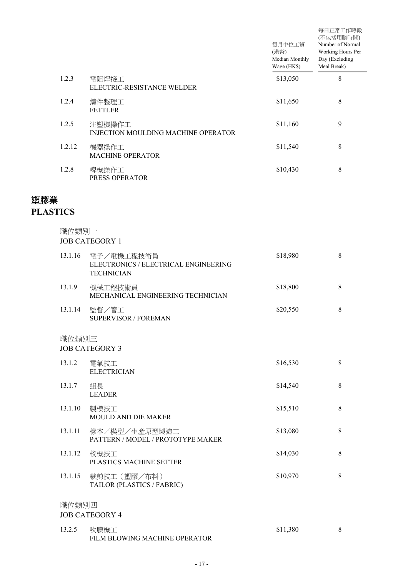|        |                                               | 每月中位工資<br>(港幣)<br>Median Monthly<br>Wage (HK\$) | 每日正常工作時數<br>(不包括用膳時間)<br>Number of Normal<br>Working Hours Per<br>Day (Excluding<br>Meal Break) |
|--------|-----------------------------------------------|-------------------------------------------------|-------------------------------------------------------------------------------------------------|
| 1.2.3  | 電阻焊接工<br>ELECTRIC-RESISTANCE WELDER           | \$13,050                                        | 8                                                                                               |
| 1.2.4  | 鑄件整理工<br><b>FETTLER</b>                       | \$11,650                                        | 8                                                                                               |
| 1.2.5  | 注塑機操作工<br>INJECTION MOULDING MACHINE OPERATOR | \$11,160                                        | 9                                                                                               |
| 1.2.12 | 機器操作工<br><b>MACHINE OPERATOR</b>              | \$11,540                                        | 8                                                                                               |
| 1.2.8  | 啤機操作工<br>PRESS OPERATOR                       | \$10,430                                        | 8                                                                                               |

## 塑膠業

## **PLASTICS**

職位類別一 JOB CATEGORY 1

| 13.1.16 | 電子/電機工程技術員<br>ELECTRONICS / ELECTRICAL ENGINEERING<br><b>TECHNICIAN</b> | \$18,980 | 8 |
|---------|-------------------------------------------------------------------------|----------|---|
| 13.1.9  | 機械工程技術員<br>MECHANICAL ENGINEERING TECHNICIAN                            | \$18,800 | 8 |
| 13.1.14 | 監督/管工<br><b>SUPERVISOR / FOREMAN</b>                                    | \$20,550 | 8 |
| 職位類別三   | <b>JOB CATEGORY 3</b>                                                   |          |   |
| 13.1.2  | 電氣技工<br><b>ELECTRICIAN</b>                                              | \$16,530 | 8 |
| 13.1.7  | 組長<br><b>LEADER</b>                                                     | \$14,540 | 8 |
| 13.1.10 | 製模技工<br><b>MOULD AND DIE MAKER</b>                                      | \$15,510 | 8 |
| 13.1.11 | 樣本/模型/生產原型製造工<br>PATTERN / MODEL / PROTOTYPE MAKER                      | \$13,080 | 8 |
|         |                                                                         |          |   |

- 校機技工 13.1.12 \$14,030 8 PLASTICS MACHINE SETTER 13.1.15 裁剪技工(塑膠/布料) \$10,970 8
- TAILOR (PLASTICS / FABRIC)

#### 職位類別四

#### JOB CATEGORY 4

13.2.5 吹膜機工 \$11,380 8 FILM BLOWING MACHINE OPERATOR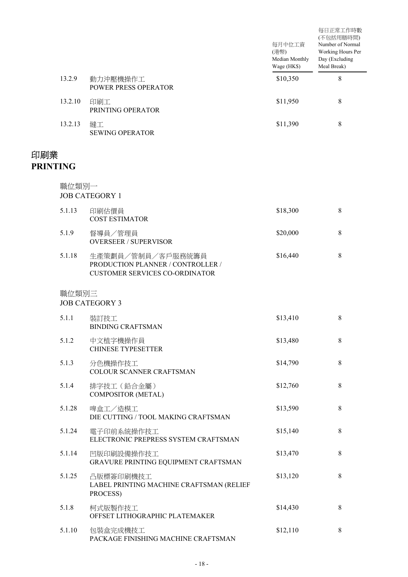|                        |         |                                                                                                 | 每月中位工資<br>(港幣)<br>Median Monthly<br>Wage (HK\$) | 每日正常工作時數<br>(不包括用膳時間)<br>Number of Normal<br>Working Hours Per<br>Day (Excluding<br>Meal Break) |
|------------------------|---------|-------------------------------------------------------------------------------------------------|-------------------------------------------------|-------------------------------------------------------------------------------------------------|
|                        | 13.2.9  | 動力沖壓機操作工<br>POWER PRESS OPERATOR                                                                | \$10,350                                        | 8                                                                                               |
|                        | 13.2.10 | 印刷工<br>PRINTING OPERATOR                                                                        | \$11,950                                        | 8                                                                                               |
|                        | 13.2.13 | 縫工<br><b>SEWING OPERATOR</b>                                                                    | \$11,390                                        | 8                                                                                               |
| 印刷業<br><b>PRINTING</b> |         |                                                                                                 |                                                 |                                                                                                 |
|                        | 職位類別一   | <b>JOB CATEGORY 1</b>                                                                           |                                                 |                                                                                                 |
|                        | 5.1.13  | 印刷估價員<br><b>COST ESTIMATOR</b>                                                                  | \$18,300                                        | 8                                                                                               |
|                        | 5.1.9   | 督導員/管理員<br><b>OVERSEER / SUPERVISOR</b>                                                         | \$20,000                                        | 8                                                                                               |
|                        | 5.1.18  | 生產策劃員/管制員/客戶服務統籌員<br>PRODUCTION PLANNER / CONTROLLER /<br><b>CUSTOMER SERVICES CO-ORDINATOR</b> | \$16,440                                        | 8                                                                                               |
|                        | 職位類別三   | <b>JOB CATEGORY 3</b>                                                                           |                                                 |                                                                                                 |
|                        | 5.1.1   | 裝訂技工<br><b>BINDING CRAFTSMAN</b>                                                                | \$13,410                                        | 8                                                                                               |
|                        | 5.1.2   | 中文植字機操作員<br><b>CHINESE TYPESETTER</b>                                                           | \$13,480                                        | $\,8\,$                                                                                         |
|                        | 5.1.3   | 分色機操作技工<br>COLOUR SCANNER CRAFTSMAN                                                             | \$14,790                                        | $8\,$                                                                                           |
|                        | 5.1.4   | 排字技工 (鉛合金屬)<br><b>COMPOSITOR (METAL)</b>                                                        | \$12,760                                        | $\,8\,$                                                                                         |
|                        | 5.1.28  | 啤盒工/造模工<br>DIE CUTTING / TOOL MAKING CRAFTSMAN                                                  | \$13,590                                        | $8\,$                                                                                           |
|                        | 5.1.24  | 電子印前系統操作技工<br>ELECTRONIC PREPRESS SYSTEM CRAFTSMAN                                              | \$15,140                                        | $\,8\,$                                                                                         |
|                        | 5.1.14  | 凹版印刷設備操作技工<br>GRAVURE PRINTING EQUIPMENT CRAFTSMAN                                              | \$13,470                                        | $\,8\,$                                                                                         |
|                        | 5.1.25  | 凸版標簽印刷機技工<br>LABEL PRINTING MACHINE CRAFTSMAN (RELIEF<br>PROCESS)                               | \$13,120                                        | $\,8\,$                                                                                         |
|                        | 5.1.8   | 柯式版製作技工<br>OFFSET LITHOGRAPHIC PLATEMAKER                                                       | \$14,430                                        | $\,8\,$                                                                                         |
|                        | 5.1.10  | 包裝盒完成機技工<br>PACKAGE FINISHING MACHINE CRAFTSMAN                                                 | \$12,110                                        | 8                                                                                               |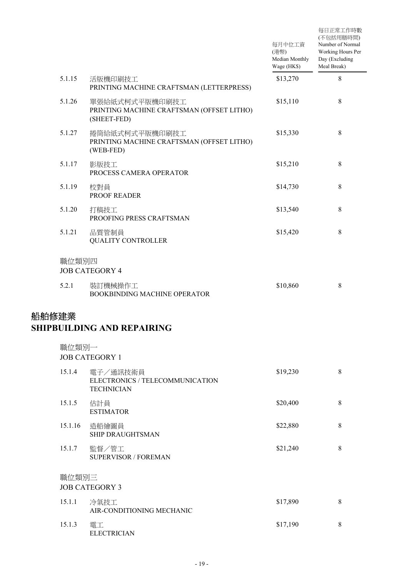|       |         |                                                                            | 每月中位工資<br>(港幣)<br>Median Monthly<br>Wage (HK\$) | 每日正常工作時數<br>(不包括用膳時間)<br>Number of Normal<br>Working Hours Per<br>Day (Excluding<br>Meal Break) |
|-------|---------|----------------------------------------------------------------------------|-------------------------------------------------|-------------------------------------------------------------------------------------------------|
|       | 5.1.15  | 活版機印刷技工<br>PRINTING MACHINE CRAFTSMAN (LETTERPRESS)                        | \$13,270                                        | 8                                                                                               |
|       | 5.1.26  | 單張給紙式柯式平版機印刷技工<br>PRINTING MACHINE CRAFTSMAN (OFFSET LITHO)<br>(SHEET-FED) | \$15,110                                        | $\,8\,$                                                                                         |
|       | 5.1.27  | 捲筒給紙式柯式平版機印刷技工<br>PRINTING MACHINE CRAFTSMAN (OFFSET LITHO)<br>(WEB-FED)   | \$15,330                                        | $\,8\,$                                                                                         |
|       | 5.1.17  | 影版技工<br>PROCESS CAMERA OPERATOR                                            | \$15,210                                        | $8\,$                                                                                           |
|       | 5.1.19  | 校對員<br>PROOF READER                                                        | \$14,730                                        | $8\,$                                                                                           |
|       | 5.1.20  | 打稿技工<br>PROOFING PRESS CRAFTSMAN                                           | \$13,540                                        | $\,8\,$                                                                                         |
|       | 5.1.21  | 品質管制員<br><b>QUALITY CONTROLLER</b>                                         | \$15,420                                        | $\,8\,$                                                                                         |
|       | 職位類別四   | <b>JOB CATEGORY 4</b>                                                      |                                                 |                                                                                                 |
|       | 5.2.1   | 裝訂機械操作工<br>BOOKBINDING MACHINE OPERATOR                                    | \$10,860                                        | $\,8\,$                                                                                         |
| 船舶修建業 |         | <b>SHIPBUILDING AND REPAIRING</b>                                          |                                                 |                                                                                                 |
|       | 職位類別一   | <b>JOB CATEGORY 1</b>                                                      |                                                 |                                                                                                 |
|       | 15.1.4  | 電子/通訊技術員<br>ELECTRONICS / TELECOMMUNICATION<br><b>TECHNICIAN</b>           | \$19,230                                        | $\,8\,$                                                                                         |
|       | 15.1.5  | 估計員<br><b>ESTIMATOR</b>                                                    | \$20,400                                        | $\,8\,$                                                                                         |
|       | 15.1.16 | 造船繪圖員<br><b>SHIP DRAUGHTSMAN</b>                                           | \$22,880                                        | $\,8\,$                                                                                         |
|       | 15.1.7  | 監督/管工<br><b>SUPERVISOR / FOREMAN</b>                                       | \$21,240                                        | $\,8\,$                                                                                         |
|       | 職位類別三   | <b>JOB CATEGORY 3</b>                                                      |                                                 |                                                                                                 |
|       | 15.1.1  | 冷氣技工<br>AIR-CONDITIONING MECHANIC                                          | \$17,890                                        | $\,8\,$                                                                                         |
|       | 15.1.3  | 電工<br><b>ELECTRICIAN</b>                                                   | \$17,190                                        | $\,8\,$                                                                                         |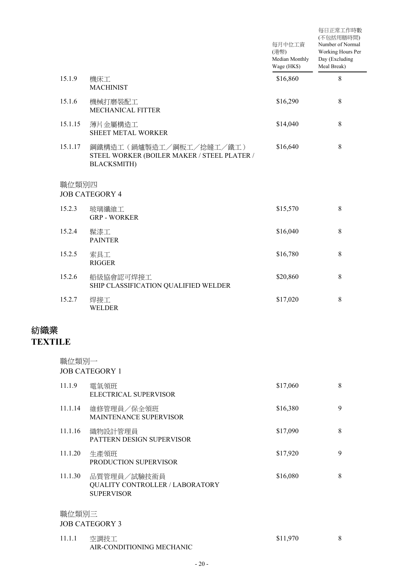|                            |         |                                                                                               | 每月中位工資<br>(港幣)<br>Median Monthly<br>Wage (HK\$) | 每日正常工作時數<br>(不包括用膳時間)<br>Number of Normal<br>Working Hours Per<br>Day (Excluding<br>Meal Break) |
|----------------------------|---------|-----------------------------------------------------------------------------------------------|-------------------------------------------------|-------------------------------------------------------------------------------------------------|
|                            | 15.1.9  | 機床工<br><b>MACHINIST</b>                                                                       | \$16,860                                        | 8                                                                                               |
|                            | 15.1.6  | 機械打磨裝配工<br>MECHANICAL FITTER                                                                  | \$16,290                                        | 8                                                                                               |
|                            | 15.1.15 | 薄片金屬構造工<br>SHEET METAL WORKER                                                                 | \$14,040                                        | 8                                                                                               |
|                            | 15.1.17 | 鋼鐵構造工(鍋爐製造工/鋼板工/捻縫工/鐵工)<br>STEEL WORKER (BOILER MAKER / STEEL PLATER /<br><b>BLACKSMITH</b> ) | \$16,640                                        | 8                                                                                               |
|                            | 職位類別四   | <b>JOB CATEGORY 4</b>                                                                         |                                                 |                                                                                                 |
|                            | 15.2.3  | 玻璃纖維工<br><b>GRP - WORKER</b>                                                                  | \$15,570                                        | 8                                                                                               |
|                            | 15.2.4  | 髹漆工<br><b>PAINTER</b>                                                                         | \$16,040                                        | 8                                                                                               |
|                            | 15.2.5  | 索具工<br><b>RIGGER</b>                                                                          | \$16,780                                        | 8                                                                                               |
|                            | 15.2.6  | 船級協會認可焊接工<br>SHIP CLASSIFICATION QUALIFIED WELDER                                             | \$20,860                                        | 8                                                                                               |
|                            | 15.2.7  | 焊接工<br><b>WELDER</b>                                                                          | \$17,020                                        | 8                                                                                               |
| ツィッシャンコン<br><b>TEXTILE</b> |         |                                                                                               |                                                 |                                                                                                 |
|                            | 職位類別一   | <b>JOB CATEGORY 1</b>                                                                         |                                                 |                                                                                                 |
|                            | 11.1.9  | 電氣領班<br>ELECTRICAL SUPERVISOR                                                                 | \$17,060                                        | 8                                                                                               |
|                            | 11.1.14 | 維修管理員/保全領班<br>MAINTENANCE SUPERVISOR                                                          | \$16,380                                        | 9                                                                                               |
|                            | 11.1.16 | 織物設計管理員<br>PATTERN DESIGN SUPERVISOR                                                          | \$17,090                                        | 8                                                                                               |
|                            | 11.1.20 | 生產領班<br>PRODUCTION SUPERVISOR                                                                 | \$17,920                                        | 9                                                                                               |
|                            | 11.1.30 | 品質管理員/試驗技術員<br>QUALITY CONTROLLER / LABORATORY<br><b>SUPERVISOR</b>                           | \$16,080                                        | 8                                                                                               |
|                            | 職位類別三   | <b>JOB CATEGORY 3</b>                                                                         |                                                 |                                                                                                 |
|                            | 11.1.1  | 空調技工<br>AIR-CONDITIONING MECHANIC                                                             | \$11,970                                        | 8                                                                                               |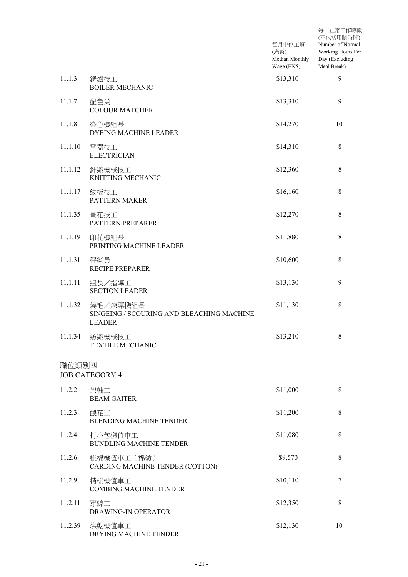|         |                                                                        | 每月中位工資<br>(港幣)<br>Median Monthly<br>Wage (HK\$) | 每日正常工作時數<br>(不包括用膳時間)<br>Number of Normal<br>Working Hours Per<br>Day (Excluding<br>Meal Break) |
|---------|------------------------------------------------------------------------|-------------------------------------------------|-------------------------------------------------------------------------------------------------|
| 11.1.3  | 鍋爐技工<br><b>BOILER MECHANIC</b>                                         | \$13,310                                        | 9                                                                                               |
| 11.1.7  | 配色員<br><b>COLOUR MATCHER</b>                                           | \$13,310                                        | 9                                                                                               |
| 11.1.8  | 染色機組長<br><b>DYEING MACHINE LEADER</b>                                  | \$14,270                                        | 10                                                                                              |
| 11.1.10 | 電器技工<br><b>ELECTRICIAN</b>                                             | \$14,310                                        | $\,8\,$                                                                                         |
| 11.1.12 | 針織機械技工<br>KNITTING MECHANIC                                            | \$12,360                                        | $\,8\,$                                                                                         |
| 11.1.17 | 紋板技工<br>PATTERN MAKER                                                  | \$16,160                                        | $\,8\,$                                                                                         |
| 11.1.35 | 畫花技工<br>PATTERN PREPARER                                               | \$12,270                                        | $\,8\,$                                                                                         |
| 11.1.19 | 印花機組長<br>PRINTING MACHINE LEADER                                       | \$11,880                                        | $\,8\,$                                                                                         |
| 11.1.31 | 秤料員<br><b>RECIPE PREPARER</b>                                          | \$10,600                                        | $\,8\,$                                                                                         |
| 11.1.11 | 組長/指導工<br><b>SECTION LEADER</b>                                        | \$13,130                                        | 9                                                                                               |
| 11.1.32 | 燒毛/煉漂機組長<br>SINGEING / SCOURING AND BLEACHING MACHINE<br><b>LEADER</b> | \$11,130                                        | $\,8\,$                                                                                         |
| 11.1.34 | 紡織機械技工<br><b>TEXTILE MECHANIC</b>                                      | \$13,210                                        | $\,8\,$                                                                                         |
| 職位類別四   | <b>JOB CATEGORY 4</b>                                                  |                                                 |                                                                                                 |
| 11.2.2  | 架軸工<br><b>BEAM GAITER</b>                                              | \$11,000                                        | $\,8\,$                                                                                         |
| 11.2.3  | 餵花工<br><b>BLENDING MACHINE TENDER</b>                                  | \$11,200                                        | $\,8\,$                                                                                         |
| 11.2.4  | 打小包機值車工<br><b>BUNDLING MACHINE TENDER</b>                              | \$11,080                                        | $\,8\,$                                                                                         |
| 11.2.6  | 梳棉機值車工 (棉紡)<br>CARDING MACHINE TENDER (COTTON)                         | \$9,570                                         | $\,8\,$                                                                                         |
| 11.2.9  | 精梳機值車工<br><b>COMBING MACHINE TENDER</b>                                | \$10,110                                        | $\tau$                                                                                          |
| 11.2.11 | 穿綜工<br>DRAWING-IN OPERATOR                                             | \$12,350                                        | $\,8\,$                                                                                         |
| 11.2.39 | 烘乾機值車工<br>DRYING MACHINE TENDER                                        | \$12,130                                        | 10                                                                                              |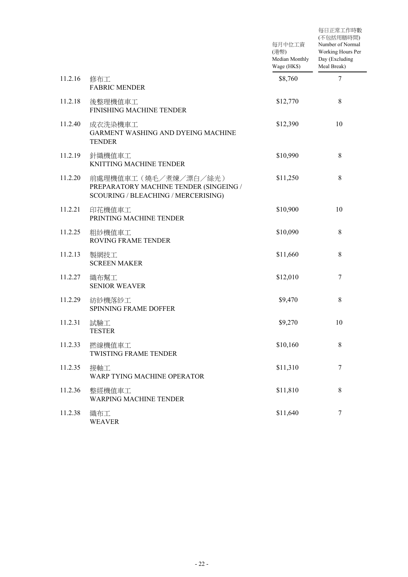|         |                                                                                                       | 每月中位工資<br>(港幣)<br>Median Monthly<br>Wage (HK\$) | 每日正常工作時數<br>(不包括用膳時間)<br>Number of Normal<br>Working Hours Per<br>Day (Excluding<br>Meal Break) |
|---------|-------------------------------------------------------------------------------------------------------|-------------------------------------------------|-------------------------------------------------------------------------------------------------|
| 11.2.16 | 修布工<br><b>FABRIC MENDER</b>                                                                           | \$8,760                                         | 7                                                                                               |
| 11.2.18 | 後整理機值車工<br>FINISHING MACHINE TENDER                                                                   | \$12,770                                        | 8                                                                                               |
| 11.2.40 | 成衣洗染機車工<br>GARMENT WASHING AND DYEING MACHINE<br><b>TENDER</b>                                        | \$12,390                                        | 10                                                                                              |
| 11.2.19 | 針織機值車工<br><b>KNITTING MACHINE TENDER</b>                                                              | \$10,990                                        | $8\,$                                                                                           |
| 11.2.20 | 前處理機值車工(燒毛/煮煉/漂白/絲光)<br>PREPARATORY MACHINE TENDER (SINGEING /<br>SCOURING / BLEACHING / MERCERISING) | \$11,250                                        | $8\,$                                                                                           |
| 11.2.21 | 印花機值車工<br>PRINTING MACHINE TENDER                                                                     | \$10,900                                        | 10                                                                                              |
| 11.2.25 | 粗紗機值車工<br>ROVING FRAME TENDER                                                                         | \$10,090                                        | $\,8\,$                                                                                         |
| 11.2.13 | 製網技工<br><b>SCREEN MAKER</b>                                                                           | \$11,660                                        | 8                                                                                               |
| 11.2.27 | 織布幫工<br><b>SENIOR WEAVER</b>                                                                          | \$12,010                                        | $\tau$                                                                                          |
| 11.2.29 | 紡紗機落紗工<br>SPINNING FRAME DOFFER                                                                       | \$9,470                                         | $8\,$                                                                                           |
| 11.2.31 | 試驗工<br><b>TESTER</b>                                                                                  | \$9,270                                         | 10                                                                                              |
| 11.2.33 | 撚線機值車工<br><b>TWISTING FRAME TENDER</b>                                                                | \$10,160                                        | 8                                                                                               |
| 11.2.35 | 接軸工<br>WARP TYING MACHINE OPERATOR                                                                    | \$11,310                                        | 7                                                                                               |
| 11.2.36 | 整經機值車工<br><b>WARPING MACHINE TENDER</b>                                                               | \$11,810                                        | 8                                                                                               |
| 11.2.38 | 織布工<br><b>WEAVER</b>                                                                                  | \$11,640                                        | 7                                                                                               |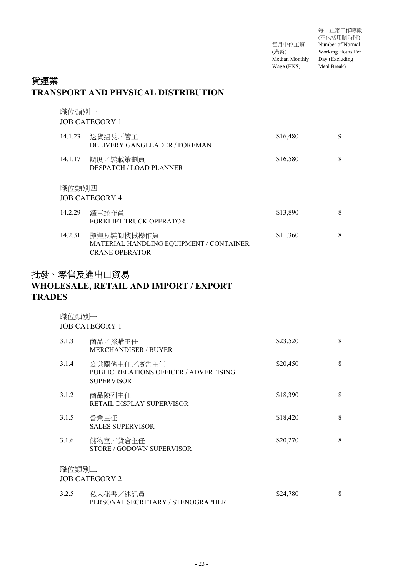每月中位工資 (港幣) Median Monthly Day (Excluding Wage (HK\$) 每日正常工作時數 (不包括用膳時間) Number of Normal Working Hours Per Meal Break)

## 貨運業 **TRANSPORT AND PHYSICAL DISTRIBUTION**

|         | 職位類別一<br><b>JOB CATEGORY 1</b>                                                 |          |   |  |  |
|---------|--------------------------------------------------------------------------------|----------|---|--|--|
| 14.1.23 | 送貨組長/管工<br>DELIVERY GANGLEADER / FOREMAN                                       | \$16,480 | 9 |  |  |
| 14.1.17 | 調度/裝載策劃員<br><b>DESPATCH / LOAD PLANNER</b>                                     | \$16,580 | 8 |  |  |
| 職位類別四   | <b>JOB CATEGORY 4</b>                                                          |          |   |  |  |
| 14.2.29 | 鏟車操作員<br>FORKLIFT TRUCK OPERATOR                                               | \$13,890 | 8 |  |  |
| 14.2.31 | 搬運及裝卸機械操作員<br>MATERIAL HANDLING EQUIPMENT / CONTAINER<br><b>CRANE OPERATOR</b> | \$11,360 | 8 |  |  |

# 批發、零售及進出口貿易 **WHOLESALE, RETAIL AND IMPORT / EXPORT TRADES**

| 職位類別一 | <b>JOB CATEGORY 1</b>                                                      |          |   |
|-------|----------------------------------------------------------------------------|----------|---|
| 3.1.3 | 商品/採購主任<br><b>MERCHANDISER / BUYER</b>                                     | \$23,520 | 8 |
| 3.1.4 | 公共關係主任/廣告主任<br>PUBLIC RELATIONS OFFICER / ADVERTISING<br><b>SUPERVISOR</b> | \$20,450 | 8 |
| 3.1.2 | 商品陳列主任<br>RETAIL DISPLAY SUPERVISOR                                        | \$18,390 | 8 |
| 3.1.5 | 營業主任<br><b>SALES SUPERVISOR</b>                                            | \$18,420 | 8 |
| 3.1.6 | 儲物室/貨倉主任<br>STORE / GODOWN SUPERVISOR                                      | \$20,270 | 8 |
| 職位類別二 | <b>JOB CATEGORY 2</b>                                                      |          |   |
| 3.2.5 | 私人秘書/速記員                                                                   | \$24,780 | 8 |

PERSONAL SECRETARY / STENOGRAPHER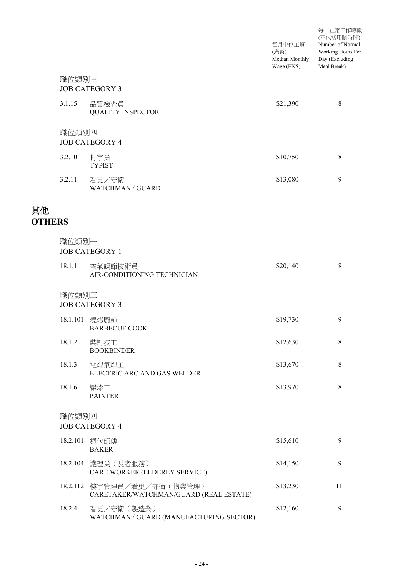|                     |          |                                                              | 每月中位工資<br>(港幣)<br>Median Monthly<br>Wage (HK\$) | 每日正常工作時數<br>(不包括用膳時間)<br>Number of Normal<br>Working Hours Per<br>Day (Excluding<br>Meal Break) |
|---------------------|----------|--------------------------------------------------------------|-------------------------------------------------|-------------------------------------------------------------------------------------------------|
|                     | 職位類別三    | <b>JOB CATEGORY 3</b>                                        |                                                 |                                                                                                 |
|                     | 3.1.15   | 品質檢查員<br><b>QUALITY INSPECTOR</b>                            | \$21,390                                        | 8                                                                                               |
|                     | 職位類別四    | <b>JOB CATEGORY 4</b>                                        |                                                 |                                                                                                 |
|                     | 3.2.10   | 打字員<br><b>TYPIST</b>                                         | \$10,750                                        | 8                                                                                               |
|                     | 3.2.11   | 看更/守衛<br><b>WATCHMAN / GUARD</b>                             | \$13,080                                        | 9                                                                                               |
| 其他<br><b>OTHERS</b> |          |                                                              |                                                 |                                                                                                 |
|                     | 職位類別一    | <b>JOB CATEGORY 1</b>                                        |                                                 |                                                                                                 |
|                     | 18.1.1   | 空氣調節技術員<br>AIR-CONDITIONING TECHNICIAN                       | \$20,140                                        | $\,8\,$                                                                                         |
|                     | 職位類別三    | <b>JOB CATEGORY 3</b>                                        |                                                 |                                                                                                 |
|                     | 18.1.101 | 燒烤廚師<br><b>BARBECUE COOK</b>                                 | \$19,730                                        | 9                                                                                               |
|                     | 18.1.2   | 裝訂技工<br><b>BOOKBINDER</b>                                    | \$12,630                                        | $\,8\,$                                                                                         |
|                     | 18.1.3   | 電焊氣焊工<br>ELECTRIC ARC AND GAS WELDER                         | \$13,670                                        | $\,8\,$                                                                                         |
|                     | 18.1.6   | 髹漆工<br><b>PAINTER</b>                                        | \$13,970                                        | $\,8\,$                                                                                         |
|                     | 職位類別四    | <b>JOB CATEGORY 4</b>                                        |                                                 |                                                                                                 |
|                     | 18.2.101 | 麵包師傅<br><b>BAKER</b>                                         | \$15,610                                        | 9                                                                                               |
|                     | 18.2.104 | 護理員 (長者服務)<br>CARE WORKER (ELDERLY SERVICE)                  | \$14,150                                        | 9                                                                                               |
|                     | 18.2.112 | 樓宇管理員/看更/守衛 (物業管理)<br>CARETAKER/WATCHMAN/GUARD (REAL ESTATE) | \$13,230                                        | 11                                                                                              |
|                     | 18.2.4   | 看更/守衛 (製造業)<br>WATCHMAN / GUARD (MANUFACTURING SECTOR)       | \$12,160                                        | $\mathbf{9}$                                                                                    |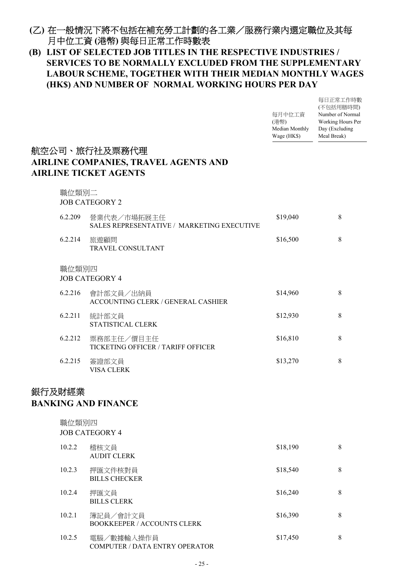## 在一般情況下將不包括在補充勞工計劃的各工業/服務行業內選定職位及其每 **(**乙**)** 月中位工資 **(**港幣**)** 與每日正常工作時數表

### **LIST OF SELECTED JOB TITLES IN THE RESPECTIVE INDUSTRIES / (B) SERVICES TO BE NORMALLY EXCLUDED FROM THE SUPPLEMENTARY LABOUR SCHEME, TOGETHER WITH THEIR MEDIAN MONTHLY WAGES (HK\$) AND NUMBER OF NORMAL WORKING HOURS PER DAY**

|         |                                                                                              | 每月中位工資<br>(港幣)<br>Median Monthly<br>Wage (HK\$) | 每日正常工作時數<br>(不包括用膳時間)<br>Number of Normal<br>Working Hours Per<br>Day (Excluding<br>Meal Break) |
|---------|----------------------------------------------------------------------------------------------|-------------------------------------------------|-------------------------------------------------------------------------------------------------|
|         | 航空公司、旅行社及票務代理<br><b>AIRLINE COMPANIES, TRAVEL AGENTS AND</b><br><b>AIRLINE TICKET AGENTS</b> |                                                 |                                                                                                 |
| 職位類別二   | <b>JOB CATEGORY 2</b>                                                                        |                                                 |                                                                                                 |
| 6.2.209 | 營業代表/市場拓展主任<br>SALES REPRESENTATIVE / MARKETING EXECUTIVE                                    | \$19,040                                        | 8                                                                                               |
| 6.2.214 | 旅遊顧問<br>TRAVEL CONSULTANT                                                                    | \$16,500                                        | $\,8\,$                                                                                         |
| 職位類別四   | <b>JOB CATEGORY 4</b>                                                                        |                                                 |                                                                                                 |
| 6.2.216 | 會計部文員/出納員<br>ACCOUNTING CLERK / GENERAL CASHIER                                              | \$14,960                                        | 8                                                                                               |
| 6.2.211 | 統計部文員<br>STATISTICAL CLERK                                                                   | \$12,930                                        | 8                                                                                               |
| 6.2.212 | 票務部主任/價目主任<br>TICKETING OFFICER / TARIFF OFFICER                                             | \$16,810                                        | 8                                                                                               |
| 6.2.215 | 簽證部文員<br>VISA CLERK                                                                          | \$13,270                                        | 8                                                                                               |
| 銀行及財經業  | <b>BANKING AND FINANCE</b>                                                                   |                                                 |                                                                                                 |
| 職位類別四   | <b>JOB CATEGORY 4</b>                                                                        |                                                 |                                                                                                 |
| 10.2.2  | 稽核文員<br><b>AUDIT CLERK</b>                                                                   | \$18,190                                        | $\,8\,$                                                                                         |
| 10.2.3  | 押匯文件核對員<br><b>BILLS CHECKER</b>                                                              | \$18,540                                        | $\,8\,$                                                                                         |
| 10.2.4  | 押匯文員<br><b>BILLS CLERK</b>                                                                   | \$16,240                                        | $\,8\,$                                                                                         |
| 10.2.1  | 簿記員/會計文員<br><b>BOOKKEEPER / ACCOUNTS CLERK</b>                                               | \$16,390                                        | $\,8\,$                                                                                         |
| 10.2.5  | 電腦/數據輸入操作員<br>COMPUTER / DATA ENTRY OPERATOR                                                 | \$17,450                                        | 8                                                                                               |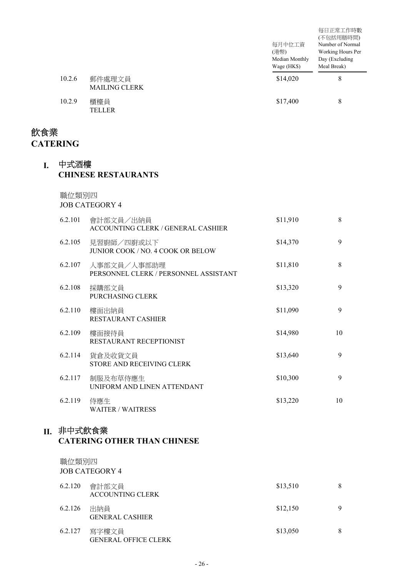|        |                                | 每月中位工資<br>(港幣)<br>Median Monthly<br>Wage (HK\$) | 每日正常工作時數<br>(不包括用膳時間)<br>Number of Normal<br>Working Hours Per<br>Day (Excluding<br>Meal Break) |
|--------|--------------------------------|-------------------------------------------------|-------------------------------------------------------------------------------------------------|
| 10.2.6 | 郵件處理文員<br><b>MAILING CLERK</b> | \$14,020                                        | 8                                                                                               |
| 10.2.9 | 櫃檯員<br>TELLER                  | \$17,400                                        | 8                                                                                               |

## 飲食業 **CATERING**

#### 中式酒樓 **I. CHINESE RESTAURANTS**

職位類別四

JOB CATEGORY 4

| 6.2.101 | 會計部文員/出納員<br>ACCOUNTING CLERK / GENERAL CASHIER      | \$11,910 | 8  |
|---------|------------------------------------------------------|----------|----|
| 6.2.105 | 見習廚師/四廚或以下<br>JUNIOR COOK / NO. 4 COOK OR BELOW      | \$14,370 | 9  |
| 6.2.107 | 人事部文員/人事部助理<br>PERSONNEL CLERK / PERSONNEL ASSISTANT | \$11,810 | 8  |
| 6.2.108 | 採購部文員<br>PURCHASING CLERK                            | \$13,320 | 9  |
| 6.2.110 | 樓面出納員<br>RESTAURANT CASHIER                          | \$11,090 | 9  |
| 6.2.109 | 樓面接待員<br>RESTAURANT RECEPTIONIST                     | \$14,980 | 10 |
| 6.2.114 | 貨倉及收貨文員<br>STORE AND RECEIVING CLERK                 | \$13,640 | 9  |
| 6.2.117 | 制服及布草侍應生<br>UNIFORM AND LINEN ATTENDANT              | \$10,300 | 9  |
| 6.2.119 | 侍應生<br><b>WAITER / WAITRESS</b>                      | \$13,220 | 10 |

### II.非中式飲食業

#### **CATERING OTHER THAN CHINESE**

# 職位類別四

JOB CATEGORY 4 會計部文員 6.2.120 \$13,510 8 ACCOUNTING CLERK 6.2.126 出納員 9.9.1.120 9.12.150 9.12.150 9.12.150 9.12.150 9.12.150 9.12.150 9.12.150 9.12.150 9.12.1 GENERAL CASHIER 寫字樓文員 6.2.127 \$13,050 8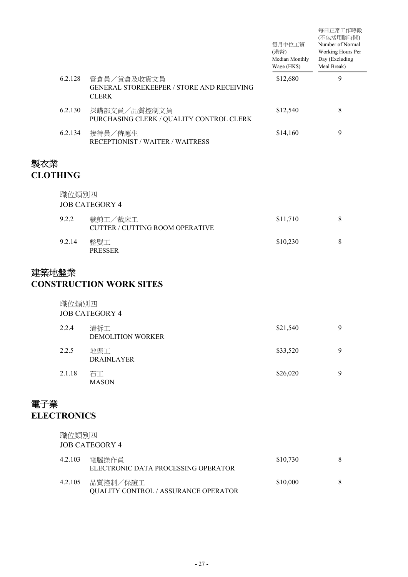|                        |         |                                                                                 | 每月中位工資<br>(港幣)<br>Median Monthly<br>Wage (HK\$) | 每日正常工作時數<br>(不包括用膳時間)<br>Number of Normal<br>Working Hours Per<br>Day (Excluding<br>Meal Break) |
|------------------------|---------|---------------------------------------------------------------------------------|-------------------------------------------------|-------------------------------------------------------------------------------------------------|
|                        | 6.2.128 | 管倉員/貨倉及收貨文員<br><b>GENERAL STOREKEEPER / STORE AND RECEIVING</b><br><b>CLERK</b> | \$12,680                                        | 9                                                                                               |
|                        | 6.2.130 | 採購部文員/品質控制文員<br>PURCHASING CLERK / QUALITY CONTROL CLERK                        | \$12,540                                        | 8                                                                                               |
|                        | 6.2.134 | 接待員/侍應生<br><b>RECEPTIONIST / WAITER / WAITRESS</b>                              | \$14,160                                        | 9                                                                                               |
| 製衣業<br><b>CLOTHING</b> |         |                                                                                 |                                                 |                                                                                                 |
|                        | 職位類別四   | <b>JOB CATEGORY 4</b>                                                           |                                                 |                                                                                                 |
|                        | 9.2.2   | 裁剪工/裁床工<br><b>CUTTER / CUTTING ROOM OPERATIVE</b>                               | \$11,710                                        | 8                                                                                               |
|                        | 9.2.14  | 整熨工<br><b>PRESSER</b>                                                           | \$10,230                                        | 8                                                                                               |

# 建築地盤業

### **CONSTRUCTION WORK SITES**

| 職位類別四          |
|----------------|
| JOB CATEGORY 4 |

| 2.2.4  | 清拆工<br><b>DEMOLITION WORKER</b> | \$21,540 | 9 |
|--------|---------------------------------|----------|---|
| 2.2.5  | 地渠工<br><b>DRAINLAYER</b>        | \$33,520 | 9 |
| 2.1.18 | 石工<br><b>MASON</b>              | \$26,020 | 9 |

# 電子業 **ELECTRONICS**

| 職位類別四   | JOB CATEGORY 4                                           |          |   |
|---------|----------------------------------------------------------|----------|---|
| 4.2.103 | 電腦操作員<br>ELECTRONIC DATA PROCESSING OPERATOR             | \$10,730 | 8 |
|         | 4.2.105 品質控制/保證工<br>QUALITY CONTROL / ASSURANCE OPERATOR | \$10,000 | 8 |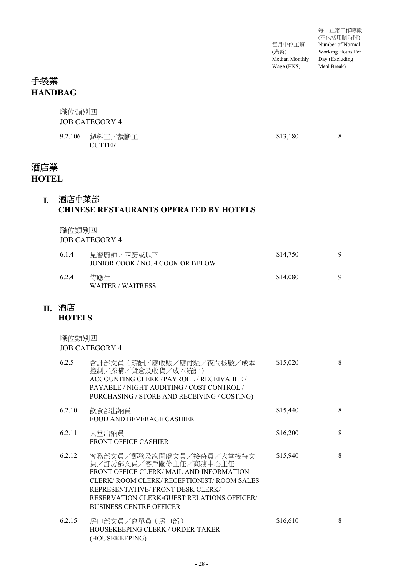# 手袋業 **HANDBAG**

|                     | 職位類別四                  | <b>JOB CATEGORY 4</b>                                                                                                                                                                                                                                          |          |   |
|---------------------|------------------------|----------------------------------------------------------------------------------------------------------------------------------------------------------------------------------------------------------------------------------------------------------------|----------|---|
|                     | 9.2.106                | 鎅料工/裁斷工<br><b>CUTTER</b>                                                                                                                                                                                                                                       | \$13,180 | 8 |
| 酒店業<br><b>HOTEL</b> |                        |                                                                                                                                                                                                                                                                |          |   |
| L                   | 酒店中菜部                  | <b>CHINESE RESTAURANTS OPERATED BY HOTELS</b>                                                                                                                                                                                                                  |          |   |
|                     | 職位類別四                  | <b>JOB CATEGORY 4</b>                                                                                                                                                                                                                                          |          |   |
|                     | 6.1.4                  | 見習廚師/四廚或以下<br>JUNIOR COOK / NO. 4 COOK OR BELOW                                                                                                                                                                                                                | \$14,750 | 9 |
|                     | 6.2.4                  | 侍應生<br><b>WAITER / WAITRESS</b>                                                                                                                                                                                                                                | \$14,080 | 9 |
|                     | Ⅱ. 酒店<br><b>HOTELS</b> |                                                                                                                                                                                                                                                                |          |   |
|                     | 職位類別四                  | <b>JOB CATEGORY 4</b>                                                                                                                                                                                                                                          |          |   |
|                     | 6.2.5                  | 會計部文員(薪酬/應收賬/應付賬/夜間核數/成本<br>控制/採購/貨倉及收貨/成本統計)<br>ACCOUNTING CLERK (PAYROLL / RECEIVABLE /<br>PAYABLE / NIGHT AUDITING / COST CONTROL /<br>PURCHASING / STORE AND RECEIVING / COSTING)                                                                          | \$15,020 | 8 |
|                     | 6.2.10                 | 飲食部出納員<br><b>FOOD AND BEVERAGE CASHIER</b>                                                                                                                                                                                                                     | \$15,440 | 8 |
|                     | 6.2.11                 | 大堂出納員<br><b>FRONT OFFICE CASHIER</b>                                                                                                                                                                                                                           | \$16,200 | 8 |
|                     | 6.2.12                 | 客務部文員/郵務及詢問處文員/接待員/大堂接待文<br>員/訂房部文員/客戶關係主任/商務中心主任<br>FRONT OFFICE CLERK/ MAIL AND INFORMATION<br>CLERK/ROOM CLERK/RECEPTIONIST/ROOM SALES<br>REPRESENTATIVE/ FRONT DESK CLERK/<br>RESERVATION CLERK/GUEST RELATIONS OFFICER/<br><b>BUSINESS CENTRE OFFICER</b> | \$15,940 | 8 |
|                     | 6.2.15                 | 房口部文員/寫單員(房口部)<br>HOUSEKEEPING CLERK / ORDER-TAKER                                                                                                                                                                                                             | \$16,610 | 8 |

(HOUSEKEEPING)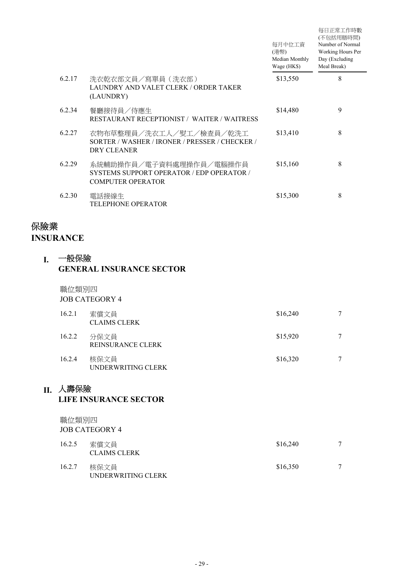|        |                                                                                                  | 每月中位工資<br>(港幣)<br>Median Monthly<br>Wage (HK\$) | 每日正常工作時數<br>(不包括用膳時間)<br>Number of Normal<br>Working Hours Per<br>Day (Excluding<br>Meal Break) |
|--------|--------------------------------------------------------------------------------------------------|-------------------------------------------------|-------------------------------------------------------------------------------------------------|
| 6.2.17 | 洗衣乾衣部文員/寫單員(洗衣部)<br>LAUNDRY AND VALET CLERK / ORDER TAKER<br>(LAUNDRY)                           | \$13,550                                        | 8                                                                                               |
| 6.2.34 | 餐廳接待員/侍應生<br><b>RESTAURANT RECEPTIONIST / WAITER / WAITRESS</b>                                  | \$14,480                                        | 9                                                                                               |
| 6.2.27 | 衣物布草整理員/洗衣工人/熨工/檢查員/乾洗工<br>SORTER / WASHER / IRONER / PRESSER / CHECKER /<br>DRY CLEANER         | \$13,410                                        | 8                                                                                               |
| 6.2.29 | 系統輔助操作員/電子資料處理操作員/電腦操作員<br>SYSTEMS SUPPORT OPERATOR / EDP OPERATOR /<br><b>COMPUTER OPERATOR</b> | \$15,160                                        | 8                                                                                               |
| 6.2.30 | 電話接線生<br><b>TELEPHONE OPERATOR</b>                                                               | \$15,300                                        | 8                                                                                               |

# 保險業

**INSURANCE**

#### 一般保險 **I. GENERAL INSURANCE SECTOR**

職位類別四

JOB CATEGORY 4

| 16.2.1 | 索償文員<br><b>CLAIMS CLERK</b>      | \$16,240 |        |
|--------|----------------------------------|----------|--------|
| 16.2.2 | 分保文員<br><b>REINSURANCE CLERK</b> | \$15,920 | 7      |
| 16.2.4 | 核保文員<br>UNDERWRITING CLERK       | \$16,320 | $\tau$ |

## 人壽保險 **II.**

#### **LIFE INSURANCE SECTOR**

職位類別四 JOB CATEGORY 4

| 16.2.5 | 索償文員<br><b>CLAIMS CLERK</b> | \$16,240 | 7 |
|--------|-----------------------------|----------|---|
| 16.2.7 | 核保文員<br>UNDERWRITING CLERK  | \$16,350 | 7 |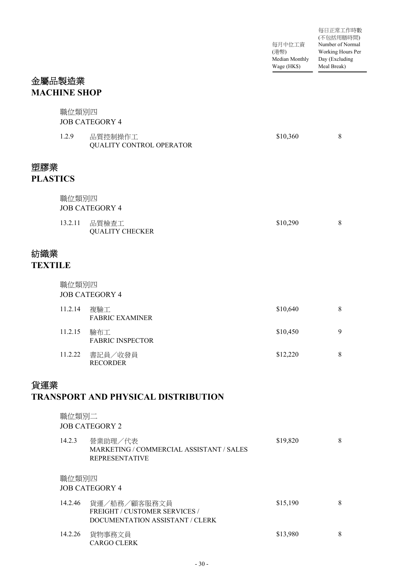|                        |                     |                                                                                  | 每月中位工資<br>(港幣)<br>Median Monthly<br>Wage (HK\$) | 每日正常工作時數<br>(不包括用膳時間)<br>Number of Normal<br>Working Hours Per<br>Day (Excluding<br>Meal Break) |
|------------------------|---------------------|----------------------------------------------------------------------------------|-------------------------------------------------|-------------------------------------------------------------------------------------------------|
|                        | 金屬品製造業              |                                                                                  |                                                 |                                                                                                 |
|                        | <b>MACHINE SHOP</b> |                                                                                  |                                                 |                                                                                                 |
|                        | 職位類別四               | <b>JOB CATEGORY 4</b>                                                            |                                                 |                                                                                                 |
|                        | 1.2.9               | 品質控制操作工<br>QUALITY CONTROL OPERATOR                                              | \$10,360                                        | 8                                                                                               |
| 塑膠業<br><b>PLASTICS</b> |                     |                                                                                  |                                                 |                                                                                                 |
|                        |                     |                                                                                  |                                                 |                                                                                                 |
|                        | 職位類別四               | <b>JOB CATEGORY 4</b>                                                            |                                                 |                                                                                                 |
|                        | 13.2.11             | 品質檢查工<br><b>QUALITY CHECKER</b>                                                  | \$10,290                                        | 8                                                                                               |
| 紡織業<br><b>TEXTILE</b>  |                     |                                                                                  |                                                 |                                                                                                 |
|                        | 職位類別四               | <b>JOB CATEGORY 4</b>                                                            |                                                 |                                                                                                 |
|                        | 11.2.14             | 複驗工<br><b>FABRIC EXAMINER</b>                                                    | \$10,640                                        | 8                                                                                               |
|                        | 11.2.15             | 驗布工<br><b>FABRIC INSPECTOR</b>                                                   | \$10,450                                        | 9                                                                                               |
|                        | 11.2.22             | 書記員/收發員<br><b>RECORDER</b>                                                       | \$12,220                                        | 8                                                                                               |
| 貨運業                    |                     | <b>TRANSPORT AND PHYSICAL DISTRIBUTION</b>                                       |                                                 |                                                                                                 |
|                        | 職位類別二               | <b>JOB CATEGORY 2</b>                                                            |                                                 |                                                                                                 |
|                        | 14.2.3              | 營業助理/代表<br>MARKETING / COMMERCIAL ASSISTANT / SALES<br><b>REPRESENTATIVE</b>     | \$19,820                                        | 8                                                                                               |
|                        | 職位類別四               | <b>JOB CATEGORY 4</b>                                                            |                                                 |                                                                                                 |
|                        | 14.2.46             | 貨運/船務/顧客服務文員<br>FREIGHT / CUSTOMER SERVICES /<br>DOCUMENTATION ASSISTANT / CLERK | \$15,190                                        | 8                                                                                               |
|                        | 14.2.26             | 貨物事務文員<br>CARGO CLERK                                                            | \$13,980                                        | 8                                                                                               |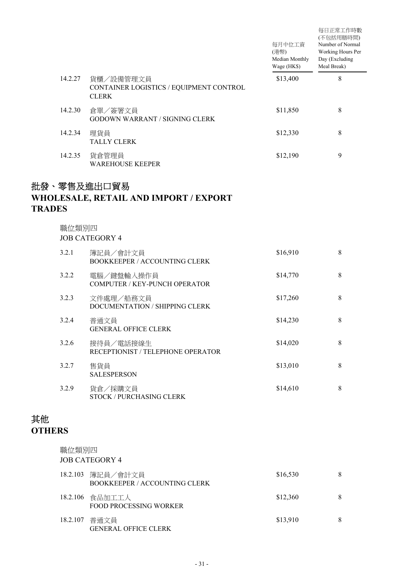|         |                                                                      | 每月中位工資<br>(港幣)<br>Median Monthly<br>Wage (HK\$) | 每日正常工作時數<br>(不包括用膳時間)<br>Number of Normal<br>Working Hours Per<br>Day (Excluding<br>Meal Break) |  |
|---------|----------------------------------------------------------------------|-------------------------------------------------|-------------------------------------------------------------------------------------------------|--|
| 14.2.27 | 貨櫃/設備管理文員<br>CONTAINER LOGISTICS / EQUIPMENT CONTROL<br><b>CLERK</b> | \$13,400                                        | 8                                                                                               |  |
| 14.2.30 | 倉單/簽署文員<br>GODOWN WARRANT / SIGNING CLERK                            | \$11,850                                        | 8                                                                                               |  |
| 14.2.34 | 理貨員<br><b>TALLY CLERK</b>                                            | \$12,330                                        | 8                                                                                               |  |
| 14.2.35 | 貨倉管理員<br><b>WAREHOUSE KEEPER</b>                                     | \$12,190                                        | 9                                                                                               |  |

# 批發、零售及進出口貿易 **WHOLESALE, RETAIL AND IMPORT / EXPORT TRADES**

職位類別四

JOB CATEGORY 4

| 3.2.1 | 簿記員/會計文員<br><b>BOOKKEEPER / ACCOUNTING CLERK</b> | \$16,910 | 8 |
|-------|--------------------------------------------------|----------|---|
| 3.2.2 | 電腦/鍵盤輸入操作員<br>COMPUTER / KEY-PUNCH OPERATOR      | \$14,770 | 8 |
| 3.2.3 | 文件處理/船務文員<br>DOCUMENTATION / SHIPPING CLERK      | \$17,260 | 8 |
| 3.2.4 | 普通文員<br><b>GENERAL OFFICE CLERK</b>              | \$14,230 | 8 |
| 3.2.6 | 接待員/電話接線生<br>RECEPTIONIST / TELEPHONE OPERATOR   | \$14,020 | 8 |
| 3.2.7 | 售貨員<br><b>SALESPERSON</b>                        | \$13,010 | 8 |
| 3.2.9 | 貨倉/採購文員<br>STOCK / PURCHASING CLERK              | \$14,610 | 8 |

# 其他 **OTHERS**

職位類別四 JOB CATEGORY 4

|          | 18.2.103 簿記員/會計文員<br><b>BOOKKEEPER / ACCOUNTING CLERK</b> | \$16,530 | 8 |
|----------|-----------------------------------------------------------|----------|---|
|          | 18.2.106 食品加工工人<br>FOOD PROCESSING WORKER                 | \$12,360 | 8 |
| 18.2.107 | 普通文員<br><b>GENERAL OFFICE CLERK</b>                       | \$13,910 | 8 |